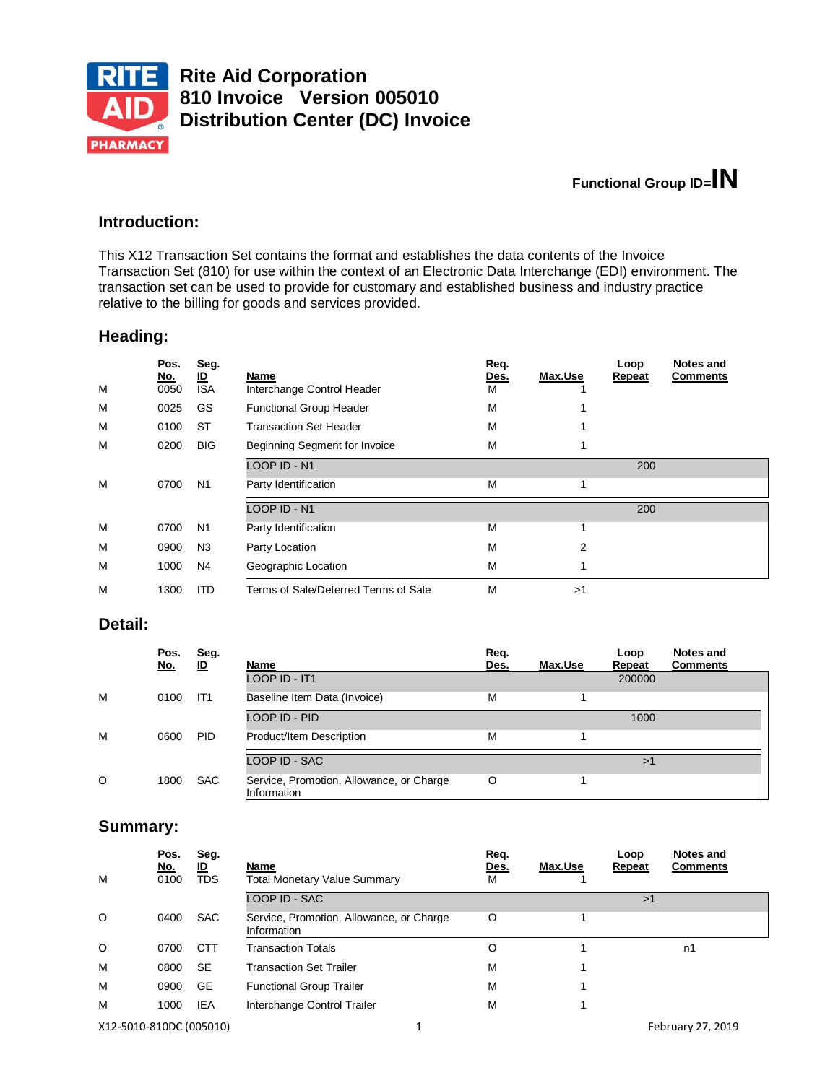

# **Functional Group ID=IN**

### **Introduction:**

This X12 Transaction Set contains the format and establishes the data contents of the Invoice Transaction Set (810) for use within the context of an Electronic Data Interchange (EDI) environment. The transaction set can be used to provide for customary and established business and industry practice relative to the billing for goods and services provided.

### **Heading:**

| M | Pos.<br><u>No.</u><br>0050 | Seg.<br><u>ID</u><br><b>ISA</b> | Name<br>Interchange Control Header   | Req.<br>Des.<br>М | Max.Use | Loop<br>Repeat | Notes and<br><b>Comments</b> |
|---|----------------------------|---------------------------------|--------------------------------------|-------------------|---------|----------------|------------------------------|
| M | 0025                       | GS                              | <b>Functional Group Header</b>       | M                 |         |                |                              |
| M | 0100                       | ST                              | <b>Transaction Set Header</b>        | М                 |         |                |                              |
| M | 0200                       | <b>BIG</b>                      | Beginning Segment for Invoice        | M                 |         |                |                              |
|   |                            |                                 | LOOP ID - N1                         |                   |         | 200            |                              |
| M | 0700                       | N <sub>1</sub>                  | Party Identification                 | М                 |         |                |                              |
|   |                            |                                 | LOOP ID - N1                         |                   |         | 200            |                              |
| M | 0700                       | N <sub>1</sub>                  | Party Identification                 | М                 |         |                |                              |
| M | 0900                       | N <sub>3</sub>                  | Party Location                       | М                 | 2       |                |                              |
| M | 1000                       | N <sub>4</sub>                  | Geographic Location                  | M                 |         |                |                              |
| M | 1300                       | <b>ITD</b>                      | Terms of Sale/Deferred Terms of Sale | М                 | >1      |                |                              |

### **Detail:**

|   | Pos.<br><u>No.</u> | Seg.<br>ID      | Name                                                    | Req.<br>Des. | Max.Use | Loop<br>Repeat | <b>Notes and</b><br><b>Comments</b> |
|---|--------------------|-----------------|---------------------------------------------------------|--------------|---------|----------------|-------------------------------------|
|   |                    |                 | LOOP ID - IT1                                           |              |         | 200000         |                                     |
| M | 0100               | IT <sub>1</sub> | Baseline Item Data (Invoice)                            | M            |         |                |                                     |
|   |                    |                 | LOOP ID - PID                                           |              |         | 1000           |                                     |
| M | 0600               | <b>PID</b>      | Product/Item Description                                | м            |         |                |                                     |
|   |                    |                 | LOOP ID - SAC                                           |              |         | >1             |                                     |
| O | 1800               | <b>SAC</b>      | Service, Promotion, Allowance, or Charge<br>Information | O            |         |                |                                     |

### **Summary:**

| M | Pos.<br><u>No.</u><br>0100 | Seg.<br><u>ID</u><br><b>TDS</b> | Name<br><b>Total Monetary Value Summary</b>             | Req.<br>Des.<br>м | Max.Use | Loop<br>Repeat | Notes and<br><b>Comments</b> |
|---|----------------------------|---------------------------------|---------------------------------------------------------|-------------------|---------|----------------|------------------------------|
|   |                            |                                 | LOOP ID - SAC                                           |                   |         | >1             |                              |
| O | 0400                       | <b>SAC</b>                      | Service, Promotion, Allowance, or Charge<br>Information | O                 |         |                |                              |
| O | 0700                       | <b>CTT</b>                      | <b>Transaction Totals</b>                               | O                 |         |                | n1                           |
| M | 0800                       | <b>SE</b>                       | <b>Transaction Set Trailer</b>                          | M                 |         |                |                              |
| M | 0900                       | <b>GE</b>                       | <b>Functional Group Trailer</b>                         | M                 |         |                |                              |
| M | 1000                       | <b>IEA</b>                      | Interchange Control Trailer                             | M                 |         |                |                              |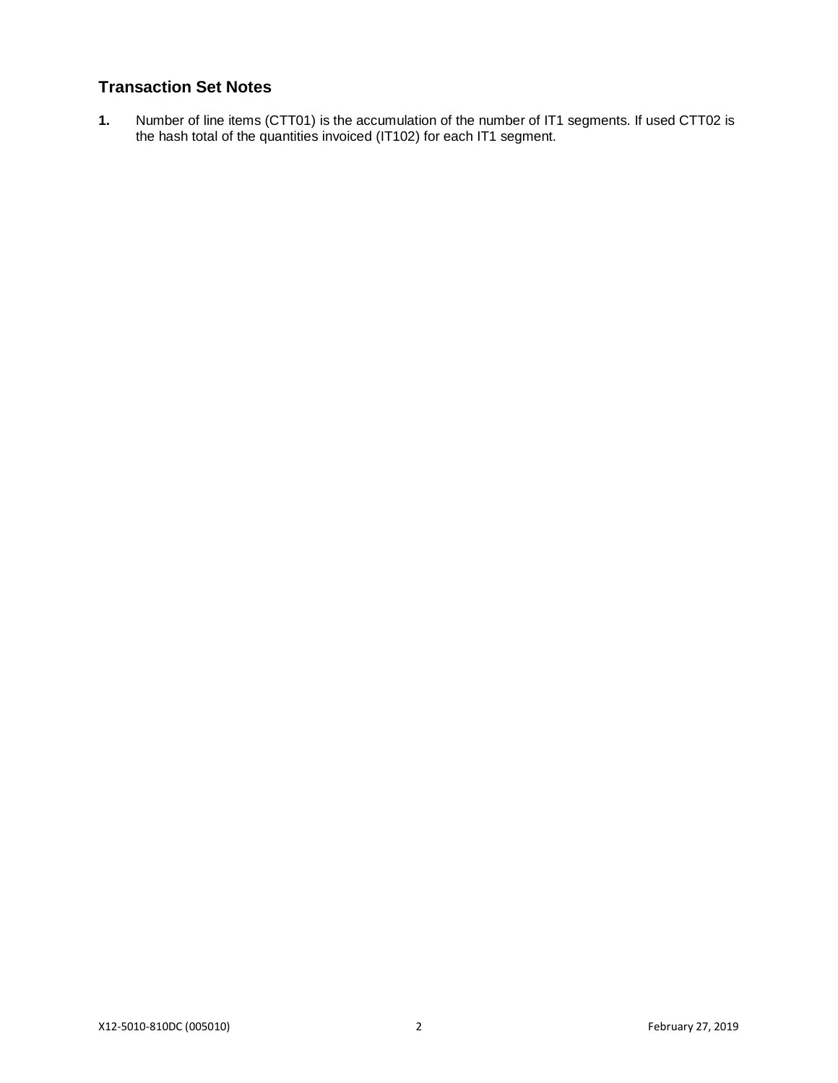# **Transaction Set Notes**

**1.** Number of line items (CTT01) is the accumulation of the number of IT1 segments. If used CTT02 is the hash total of the quantities invoiced (IT102) for each IT1 segment.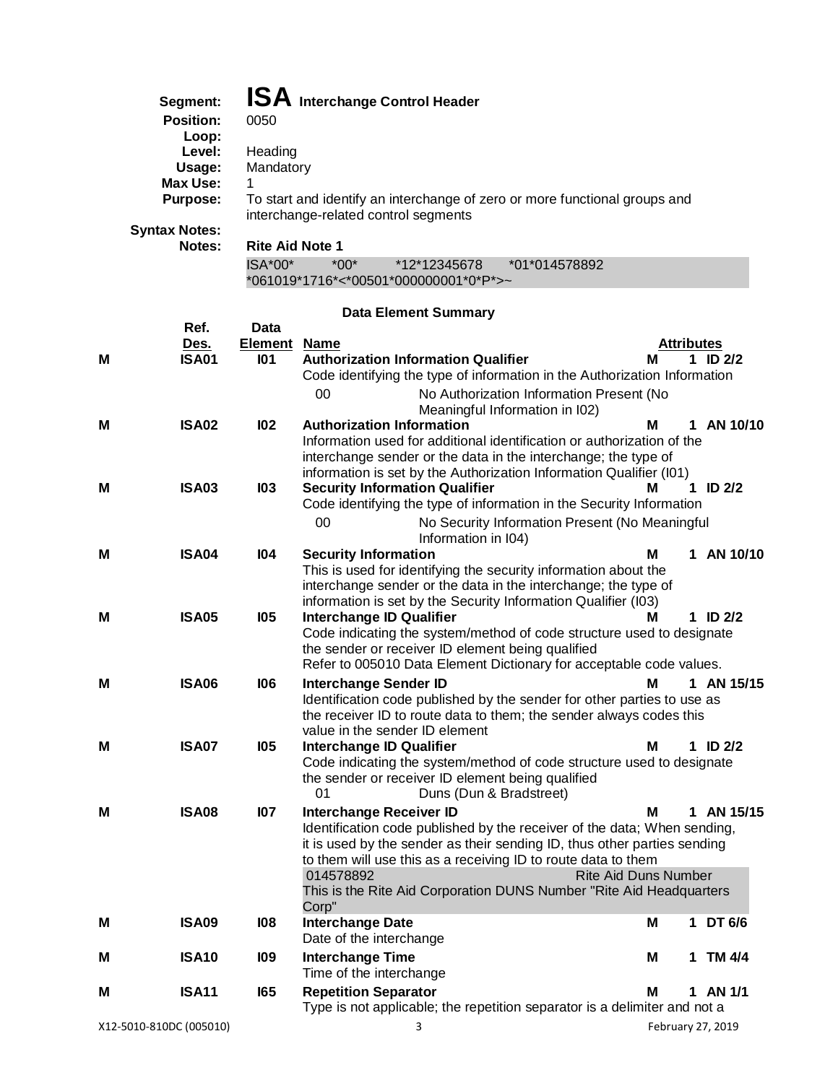| Segment:         | <b>ISA</b> Interchange Control Header                                                                              |
|------------------|--------------------------------------------------------------------------------------------------------------------|
| <b>Position:</b> | 0050                                                                                                               |
| Loop:            |                                                                                                                    |
| Level:           | Heading                                                                                                            |
| Usage:           | Mandatory                                                                                                          |
| Max Use:         |                                                                                                                    |
| Purpose:         | To start and identify an interchange of zero or more functional groups and<br>interchange-related control segments |
| ntax Notes:      |                                                                                                                    |

**Syntax Notes:**

### **Notes: Rite Aid Note 1**

| $ISA*00*$ | $*00*$ | *12*12345678                           | *01*014578892 |
|-----------|--------|----------------------------------------|---------------|
|           |        | *061019*1716*<*00501*000000001*0*P*>~` |               |

# **Data Element Summary**

|                         | Ref.              | Data                |                                                                                                                            |                   |   |              |
|-------------------------|-------------------|---------------------|----------------------------------------------------------------------------------------------------------------------------|-------------------|---|--------------|
|                         | Des.              | <b>Element Name</b> |                                                                                                                            | Attributes        |   |              |
| м                       | <b>ISA01</b>      | 101                 | <b>Authorization Information Qualifier</b>                                                                                 | м                 |   | 1 ID $2/2$   |
|                         |                   |                     | Code identifying the type of information in the Authorization Information                                                  |                   |   |              |
|                         |                   |                     | 00<br>No Authorization Information Present (No<br>Meaningful Information in I02)                                           |                   |   |              |
| м                       | <b>ISA02</b>      | 102                 | <b>Authorization Information</b>                                                                                           | м                 |   | 1 AN 10/10   |
|                         |                   |                     | Information used for additional identification or authorization of the                                                     |                   |   |              |
|                         |                   |                     | interchange sender or the data in the interchange; the type of                                                             |                   |   |              |
|                         |                   |                     | information is set by the Authorization Information Qualifier (I01)                                                        |                   |   |              |
| м                       | <b>ISA03</b>      | 103                 | <b>Security Information Qualifier</b>                                                                                      | м                 |   | 1 ID $2/2$   |
|                         |                   |                     | Code identifying the type of information in the Security Information                                                       |                   |   |              |
|                         |                   |                     | 00<br>No Security Information Present (No Meaningful<br>Information in I04)                                                |                   |   |              |
| м                       | <b>ISA04</b>      | 104                 | <b>Security Information</b>                                                                                                | м                 |   | 1 AN 10/10   |
|                         |                   |                     | This is used for identifying the security information about the                                                            |                   |   |              |
|                         |                   |                     | interchange sender or the data in the interchange; the type of                                                             |                   |   |              |
|                         |                   |                     | information is set by the Security Information Qualifier (I03)                                                             |                   |   |              |
| м                       | ISA05             | <b>105</b>          | <b>Interchange ID Qualifier</b>                                                                                            | м                 |   | 1 ID $2/2$   |
|                         |                   |                     | Code indicating the system/method of code structure used to designate<br>the sender or receiver ID element being qualified |                   |   |              |
|                         |                   |                     | Refer to 005010 Data Element Dictionary for acceptable code values.                                                        |                   |   |              |
| м                       | <b>ISA06</b>      | 106                 | <b>Interchange Sender ID</b>                                                                                               | M                 |   | 1 AN 15/15   |
|                         |                   |                     | Identification code published by the sender for other parties to use as                                                    |                   |   |              |
|                         |                   |                     | the receiver ID to route data to them; the sender always codes this                                                        |                   |   |              |
|                         |                   |                     | value in the sender ID element                                                                                             |                   |   |              |
| м                       | <b>ISA07</b>      | <b>105</b>          | <b>Interchange ID Qualifier</b>                                                                                            | м                 |   | $1$ ID $2/2$ |
|                         |                   |                     | Code indicating the system/method of code structure used to designate                                                      |                   |   |              |
|                         |                   |                     | the sender or receiver ID element being qualified                                                                          |                   |   |              |
|                         |                   |                     | 01<br>Duns (Dun & Bradstreet)                                                                                              |                   |   |              |
| м                       | <b>ISA08</b>      | 107                 | <b>Interchange Receiver ID</b>                                                                                             | М                 |   | 1 AN 15/15   |
|                         |                   |                     | Identification code published by the receiver of the data; When sending,                                                   |                   |   |              |
|                         |                   |                     | it is used by the sender as their sending ID, thus other parties sending                                                   |                   |   |              |
|                         |                   |                     | to them will use this as a receiving ID to route data to them<br>014578892<br><b>Rite Aid Duns Number</b>                  |                   |   |              |
|                         |                   |                     | This is the Rite Aid Corporation DUNS Number "Rite Aid Headquarters                                                        |                   |   |              |
|                         |                   |                     | Corp"                                                                                                                      |                   |   |              |
| м                       | <b>ISA09</b>      | 108                 | <b>Interchange Date</b>                                                                                                    | м                 |   | 1 DT 6/6     |
|                         |                   |                     | Date of the interchange                                                                                                    |                   |   |              |
| м                       | <b>ISA10</b>      | <b>109</b>          | <b>Interchange Time</b>                                                                                                    | М                 | 1 | TM 4/4       |
|                         |                   |                     | Time of the interchange                                                                                                    |                   |   |              |
| м                       | ISA <sub>11</sub> | <b>165</b>          | <b>Repetition Separator</b>                                                                                                | м                 |   | 1 AN 1/1     |
|                         |                   |                     | Type is not applicable; the repetition separator is a delimiter and not a                                                  |                   |   |              |
| X12-5010-810DC (005010) |                   |                     | 3                                                                                                                          | February 27, 2019 |   |              |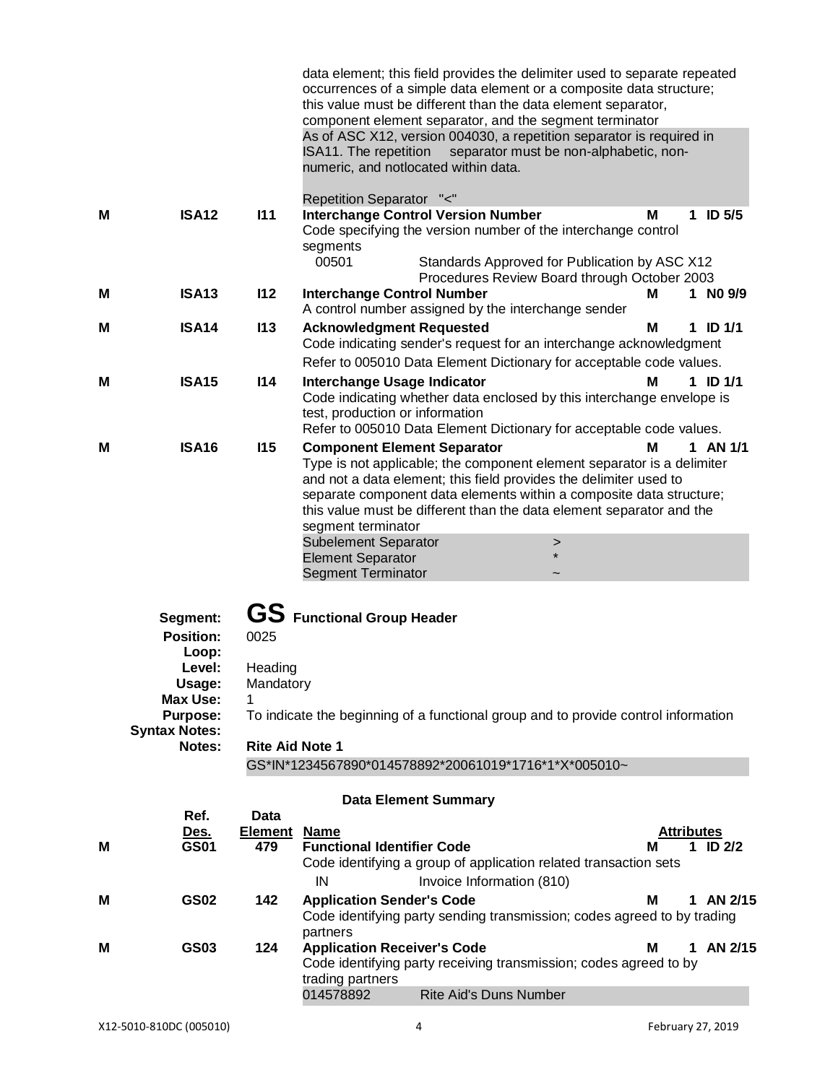|   |                                                                                                                                   |                                                             | data element; this field provides the delimiter used to separate repeated<br>occurrences of a simple data element or a composite data structure;<br>this value must be different than the data element separator,<br>component element separator, and the segment terminator<br>As of ASC X12, version 004030, a repetition separator is required in<br>ISA11. The repetition<br>separator must be non-alphabetic, non-<br>numeric, and notlocated within data.          |
|---|-----------------------------------------------------------------------------------------------------------------------------------|-------------------------------------------------------------|--------------------------------------------------------------------------------------------------------------------------------------------------------------------------------------------------------------------------------------------------------------------------------------------------------------------------------------------------------------------------------------------------------------------------------------------------------------------------|
| M | <b>ISA12</b>                                                                                                                      | 111                                                         | Repetition Separator "<"<br><b>Interchange Control Version Number</b><br>M<br><b>ID 5/5</b><br>1                                                                                                                                                                                                                                                                                                                                                                         |
|   |                                                                                                                                   |                                                             | Code specifying the version number of the interchange control<br>segments<br>00501<br>Standards Approved for Publication by ASC X12                                                                                                                                                                                                                                                                                                                                      |
| M | <b>ISA13</b>                                                                                                                      | 112                                                         | Procedures Review Board through October 2003<br><b>Interchange Control Number</b><br>1 NO 9/9<br>м<br>A control number assigned by the interchange sender                                                                                                                                                                                                                                                                                                                |
| м | <b>ISA14</b>                                                                                                                      | 113                                                         | <b>Acknowledgment Requested</b><br>M<br>1 ID $1/1$<br>Code indicating sender's request for an interchange acknowledgment<br>Refer to 005010 Data Element Dictionary for acceptable code values.                                                                                                                                                                                                                                                                          |
| M | <b>ISA15</b>                                                                                                                      | 114                                                         | 1 ID $1/1$<br>Interchange Usage Indicator<br>М<br>Code indicating whether data enclosed by this interchange envelope is<br>test, production or information<br>Refer to 005010 Data Element Dictionary for acceptable code values.                                                                                                                                                                                                                                        |
| м | <b>ISA16</b>                                                                                                                      | 115                                                         | $1$ AN $1/1$<br>М<br><b>Component Element Separator</b><br>Type is not applicable; the component element separator is a delimiter<br>and not a data element; this field provides the delimiter used to<br>separate component data elements within a composite data structure;<br>this value must be different than the data element separator and the<br>segment terminator<br><b>Subelement Separator</b><br>><br><b>Element Separator</b><br><b>Segment Terminator</b> |
|   | Segment:<br><b>Position:</b><br>Loop:<br>Level:<br>Usage:<br><b>Max Use:</b><br><b>Purpose:</b><br><b>Syntax Notes:</b><br>Notes: | 0025<br>Heading<br>Mandatory<br>1<br><b>Rite Aid Note 1</b> | GS Functional Group Header<br>To indicate the beginning of a functional group and to provide control information<br>GS*IN*1234567890*014578892*20061019*1716*1*X*005010~                                                                                                                                                                                                                                                                                                 |
|   |                                                                                                                                   |                                                             | <b>Data Element Summary</b>                                                                                                                                                                                                                                                                                                                                                                                                                                              |
| М | Ref.<br><u>Des.</u><br><b>GS01</b>                                                                                                | Data<br><b>Element Name</b><br>479                          | <b>Attributes</b><br><b>Functional Identifier Code</b><br>1 ID $2/2$<br>м<br>Code identifying a group of application related transaction sets<br>IN<br>Invoice Information (810)                                                                                                                                                                                                                                                                                         |
| M | <b>GS02</b>                                                                                                                       | 142                                                         | <b>Application Sender's Code</b><br>1 AN 2/15<br>м<br>Code identifying party sending transmission; codes agreed to by trading                                                                                                                                                                                                                                                                                                                                            |
| M | <b>GS03</b>                                                                                                                       | 124                                                         | partners<br>1 AN 2/15<br><b>Application Receiver's Code</b><br>м<br>Code identifying party receiving transmission; codes agreed to by<br>trading partners<br>014578892<br><b>Rite Aid's Duns Number</b>                                                                                                                                                                                                                                                                  |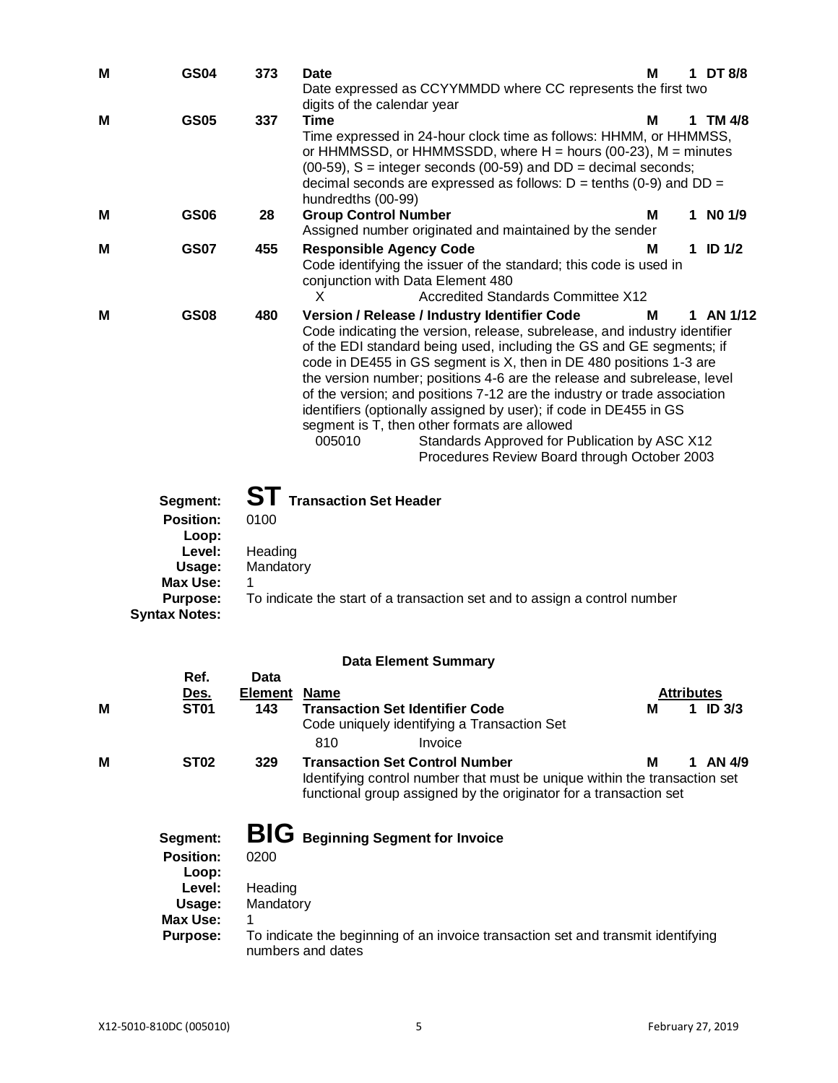| М | <b>GS04</b>                                                                                     | 373                               | Date<br>Date expressed as CCYYMMDD where CC represents the first two                                                                                                                                                                                                                                                                                                                                                                                                                                                                                                                                                                                           | м | 1 DT 8/8     |
|---|-------------------------------------------------------------------------------------------------|-----------------------------------|----------------------------------------------------------------------------------------------------------------------------------------------------------------------------------------------------------------------------------------------------------------------------------------------------------------------------------------------------------------------------------------------------------------------------------------------------------------------------------------------------------------------------------------------------------------------------------------------------------------------------------------------------------------|---|--------------|
| M | <b>GS05</b>                                                                                     | 337                               | digits of the calendar year<br><b>Time</b><br>Time expressed in 24-hour clock time as follows: HHMM, or HHMMSS,<br>or HHMMSSD, or HHMMSSDD, where $H =$ hours (00-23), $M =$ minutes<br>$(00-59)$ , S = integer seconds $(00-59)$ and DD = decimal seconds;<br>decimal seconds are expressed as follows: $D = \text{tenths} (0-9)$ and $DD =$<br>hundredths (00-99)                                                                                                                                                                                                                                                                                            | м | 1 TM 4/8     |
| M | <b>GS06</b>                                                                                     | 28                                | <b>Group Control Number</b><br>Assigned number originated and maintained by the sender                                                                                                                                                                                                                                                                                                                                                                                                                                                                                                                                                                         | м | $1$ NO $1/9$ |
| M | <b>GS07</b>                                                                                     | 455                               | <b>Responsible Agency Code</b><br>Code identifying the issuer of the standard; this code is used in<br>conjunction with Data Element 480<br><b>Accredited Standards Committee X12</b><br>X                                                                                                                                                                                                                                                                                                                                                                                                                                                                     | M | $1$ ID $1/2$ |
| M | <b>GS08</b>                                                                                     | 480                               | Version / Release / Industry Identifier Code<br>Code indicating the version, release, subrelease, and industry identifier<br>of the EDI standard being used, including the GS and GE segments; if<br>code in DE455 in GS segment is X, then in DE 480 positions 1-3 are<br>the version number; positions 4-6 are the release and subrelease, level<br>of the version; and positions 7-12 are the industry or trade association<br>identifiers (optionally assigned by user); if code in DE455 in GS<br>segment is T, then other formats are allowed<br>005010<br>Standards Approved for Publication by ASC X12<br>Procedures Review Board through October 2003 | м | 1 AN 1/12    |
|   | Segment:<br><b>Position:</b><br>Loop:<br>Level:<br>Usage:<br><b>Max Use:</b><br><b>Purpose:</b> | 0100<br>Heading<br>Mandatory<br>1 | <b>ST</b> Transaction Set Header<br>To indicate the start of a transaction set and to assign a control number                                                                                                                                                                                                                                                                                                                                                                                                                                                                                                                                                  |   |              |
|   | <b>Syntax Notes:</b>                                                                            |                                   | <b>Data Element Summary</b>                                                                                                                                                                                                                                                                                                                                                                                                                                                                                                                                                                                                                                    |   |              |
|   | Ref.                                                                                            | Data                              |                                                                                                                                                                                                                                                                                                                                                                                                                                                                                                                                                                                                                                                                |   |              |

|   | кет.<br>Des.     | Data<br><b>Element</b> | <b>Name</b>                                                                                                                                    |   | <b>Attributes</b> |                   |
|---|------------------|------------------------|------------------------------------------------------------------------------------------------------------------------------------------------|---|-------------------|-------------------|
| M | <b>ST01</b>      | 143                    | <b>Transaction Set Identifier Code</b>                                                                                                         | м |                   | ID <sub>3/3</sub> |
|   |                  |                        | Code uniquely identifying a Transaction Set                                                                                                    |   |                   |                   |
|   |                  |                        | 810<br>Invoice                                                                                                                                 |   |                   |                   |
| M | <b>ST02</b>      | 329                    | <b>Transaction Set Control Number</b>                                                                                                          | м | 1                 | AN 4/9            |
|   |                  |                        | Identifying control number that must be unique within the transaction set<br>functional group assigned by the originator for a transaction set |   |                   |                   |
|   | Segment:         |                        | <b>BIG</b> Beginning Segment for Invoice                                                                                                       |   |                   |                   |
|   | <b>Position:</b> | 0200                   |                                                                                                                                                |   |                   |                   |
|   | Loop:            |                        |                                                                                                                                                |   |                   |                   |
|   | Level:           | Heading                |                                                                                                                                                |   |                   |                   |
|   | Usage:           | Mandatory              |                                                                                                                                                |   |                   |                   |
|   | Max Use:         | 1                      |                                                                                                                                                |   |                   |                   |
|   | Purpose:         |                        | To indicate the beginning of an invoice transaction set and transmit identifying                                                               |   |                   |                   |

numbers and dates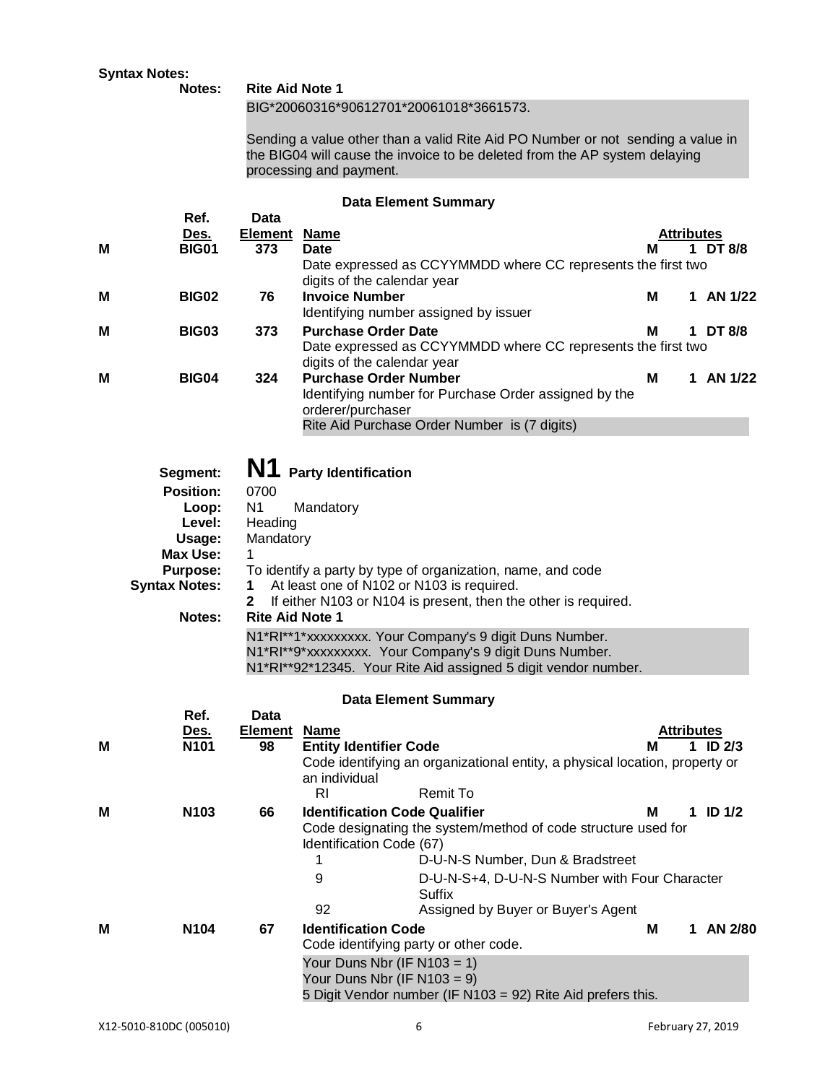|   | <b>Syntax Notes:</b><br>Notes:                                                                                                    | <b>Rite Aid Note 1</b>                                                                                     |                                                                                       |                                                                                                                                                                                                                                                                                                                       |   |                               |
|---|-----------------------------------------------------------------------------------------------------------------------------------|------------------------------------------------------------------------------------------------------------|---------------------------------------------------------------------------------------|-----------------------------------------------------------------------------------------------------------------------------------------------------------------------------------------------------------------------------------------------------------------------------------------------------------------------|---|-------------------------------|
|   |                                                                                                                                   |                                                                                                            | BIG*20060316*90612701*20061018*3661573.                                               |                                                                                                                                                                                                                                                                                                                       |   |                               |
|   |                                                                                                                                   |                                                                                                            | processing and payment.                                                               | Sending a value other than a valid Rite Aid PO Number or not sending a value in<br>the BIG04 will cause the invoice to be deleted from the AP system delaying                                                                                                                                                         |   |                               |
|   |                                                                                                                                   |                                                                                                            | <b>Data Element Summary</b>                                                           |                                                                                                                                                                                                                                                                                                                       |   |                               |
|   | Ref.                                                                                                                              | <b>Data</b>                                                                                                |                                                                                       |                                                                                                                                                                                                                                                                                                                       |   |                               |
| М | <u>Des.</u><br><b>BIG01</b>                                                                                                       | <b>Element</b><br>373                                                                                      | <u>Name</u><br><b>Date</b>                                                            |                                                                                                                                                                                                                                                                                                                       | м | <b>Attributes</b><br>1 DT 8/8 |
|   |                                                                                                                                   |                                                                                                            |                                                                                       | Date expressed as CCYYMMDD where CC represents the first two                                                                                                                                                                                                                                                          |   |                               |
|   |                                                                                                                                   |                                                                                                            | digits of the calendar year                                                           |                                                                                                                                                                                                                                                                                                                       |   |                               |
| Μ | <b>BIG02</b>                                                                                                                      | 76                                                                                                         | <b>Invoice Number</b><br>Identifying number assigned by issuer                        |                                                                                                                                                                                                                                                                                                                       | м | 1 AN 1/22                     |
| м | <b>BIG03</b>                                                                                                                      | 373                                                                                                        | <b>Purchase Order Date</b>                                                            |                                                                                                                                                                                                                                                                                                                       | м | 1 DT 8/8                      |
|   |                                                                                                                                   |                                                                                                            |                                                                                       | Date expressed as CCYYMMDD where CC represents the first two                                                                                                                                                                                                                                                          |   |                               |
|   |                                                                                                                                   |                                                                                                            | digits of the calendar year                                                           |                                                                                                                                                                                                                                                                                                                       |   |                               |
| м | <b>BIG04</b>                                                                                                                      | 324                                                                                                        | <b>Purchase Order Number</b>                                                          | Identifying number for Purchase Order assigned by the                                                                                                                                                                                                                                                                 | м | 1 AN 1/22                     |
|   |                                                                                                                                   |                                                                                                            | orderer/purchaser                                                                     |                                                                                                                                                                                                                                                                                                                       |   |                               |
|   |                                                                                                                                   |                                                                                                            |                                                                                       | Rite Aid Purchase Order Number is (7 digits)                                                                                                                                                                                                                                                                          |   |                               |
|   | Segment:<br><b>Position:</b><br>Loop:<br>Level:<br>Usage:<br><b>Max Use:</b><br><b>Purpose:</b><br><b>Syntax Notes:</b><br>Notes: | N <sub>1</sub><br>0700<br>N <sub>1</sub><br>Heading<br>Mandatory<br>1<br>1<br>2.<br><b>Rite Aid Note 1</b> | <b>Party Identification</b><br>Mandatory<br>At least one of N102 or N103 is required. | To identify a party by type of organization, name, and code<br>If either N103 or N104 is present, then the other is required.<br>N1*RI**1*xxxxxxxxx. Your Company's 9 digit Duns Number.<br>N1*RI**9*xxxxxxxxx. Your Company's 9 digit Duns Number.<br>N1*RI**92*12345. Your Rite Aid assigned 5 digit vendor number. |   |                               |
|   | Ref.                                                                                                                              | Data                                                                                                       | <b>Data Element Summary</b>                                                           |                                                                                                                                                                                                                                                                                                                       |   |                               |
|   | <u>Des.</u>                                                                                                                       | <b>Element</b>                                                                                             | <b>Name</b>                                                                           |                                                                                                                                                                                                                                                                                                                       |   | <b>Attributes</b>             |
| м | N101                                                                                                                              | 98                                                                                                         | <b>Entity Identifier Code</b><br>an individual<br>R <sub>l</sub>                      | Code identifying an organizational entity, a physical location, property or<br><b>Remit To</b>                                                                                                                                                                                                                        |   | ID $2/3$<br>1.                |
| м | N103                                                                                                                              | 66                                                                                                         | <b>Identification Code Qualifier</b>                                                  |                                                                                                                                                                                                                                                                                                                       | м | 1 ID $1/2$                    |
|   |                                                                                                                                   |                                                                                                            | Identification Code (67)<br>1                                                         | Code designating the system/method of code structure used for<br>D-U-N-S Number, Dun & Bradstreet                                                                                                                                                                                                                     |   |                               |
|   |                                                                                                                                   |                                                                                                            | 9                                                                                     | D-U-N-S+4, D-U-N-S Number with Four Character<br><b>Suffix</b>                                                                                                                                                                                                                                                        |   |                               |
|   |                                                                                                                                   |                                                                                                            | 92                                                                                    | Assigned by Buyer or Buyer's Agent                                                                                                                                                                                                                                                                                    |   |                               |
| м | N104                                                                                                                              | 67                                                                                                         | <b>Identification Code</b><br>Code identifying party or other code.                   |                                                                                                                                                                                                                                                                                                                       | M | 1 AN 2/80                     |
|   |                                                                                                                                   |                                                                                                            | Your Duns Nbr (IF N103 = 1)<br>Your Duns Nbr (IF $N103 = 9$ )                         |                                                                                                                                                                                                                                                                                                                       |   |                               |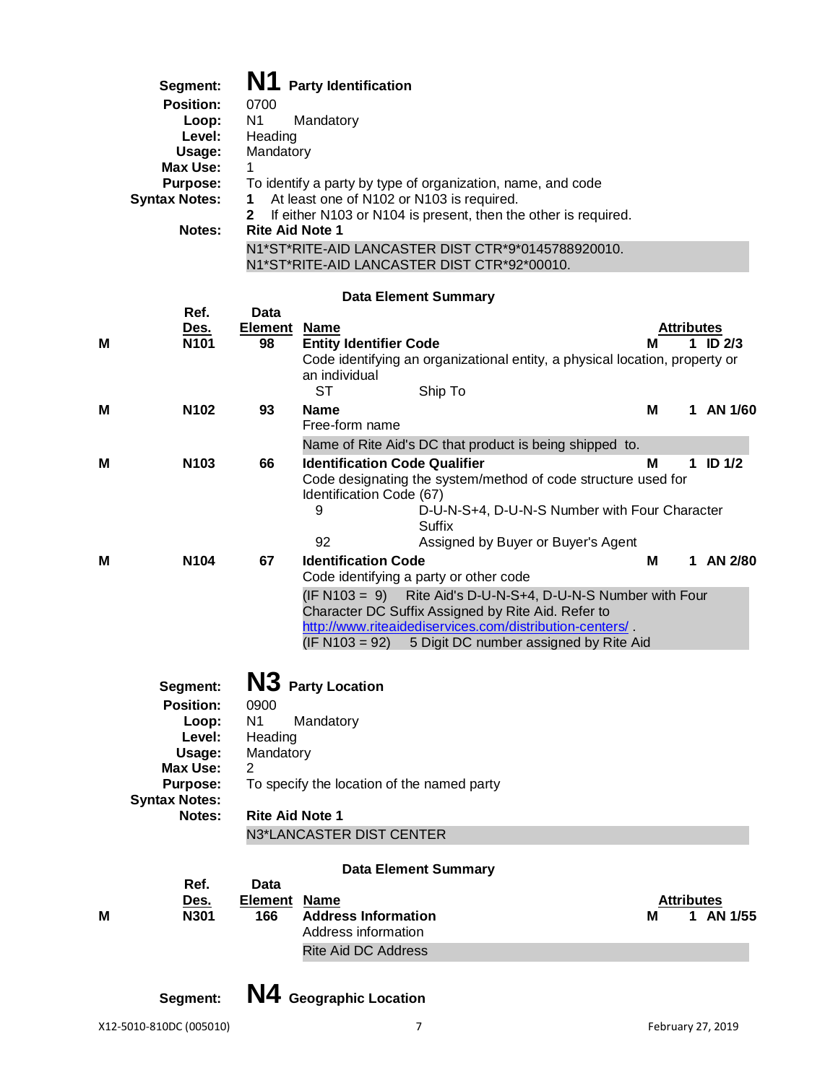| Segment:             | N1<br><b>Party Identification</b>                                              |
|----------------------|--------------------------------------------------------------------------------|
| <b>Position:</b>     | 0700                                                                           |
| Loop:                | N1<br>Mandatory                                                                |
| Level:               | Heading                                                                        |
| Usage:               | Mandatory                                                                      |
| Max Use:             | 1                                                                              |
| <b>Purpose:</b>      | To identify a party by type of organization, name, and code                    |
| <b>Syntax Notes:</b> | At least one of N102 or N103 is required.<br>1                                 |
|                      | If either N103 or N104 is present, then the other is required.<br>$\mathbf{2}$ |
| Notes:               | <b>Rite Aid Note 1</b>                                                         |
|                      | N1*ST*RITE-AID LANCASTER DIST CTR*9*0145788920010.                             |

N1\*ST\*RITE-AID LANCASTER DIST CTR\*92\*00010.

# **Data Element Summary**

|   | Ref.                 | <b>Data</b>            |                                                                             |            |   |            |
|---|----------------------|------------------------|-----------------------------------------------------------------------------|------------|---|------------|
|   | <u>Des.</u>          | <b>Element Name</b>    |                                                                             | Attributes |   |            |
| M | N101                 | 98                     | <b>Entity Identifier Code</b>                                               | м          |   | 1 ID $2/3$ |
|   |                      |                        | Code identifying an organizational entity, a physical location, property or |            |   |            |
|   |                      |                        | an individual                                                               |            |   |            |
|   |                      |                        | <b>ST</b><br>Ship To                                                        |            |   |            |
| М | N <sub>102</sub>     | 93                     | <b>Name</b>                                                                 | M          |   | 1 AN 1/60  |
|   |                      |                        | Free-form name                                                              |            |   |            |
|   |                      |                        | Name of Rite Aid's DC that product is being shipped to.                     |            |   |            |
| м | N103                 | 66                     | <b>Identification Code Qualifier</b>                                        | м          |   | 1 ID $1/2$ |
|   |                      |                        | Code designating the system/method of code structure used for               |            |   |            |
|   |                      |                        | Identification Code (67)                                                    |            |   |            |
|   |                      |                        | 9<br>D-U-N-S+4, D-U-N-S Number with Four Character                          |            |   |            |
|   |                      |                        | Suffix                                                                      |            |   |            |
|   |                      |                        | 92<br>Assigned by Buyer or Buyer's Agent                                    |            |   |            |
| м | N <sub>104</sub>     | 67                     | <b>Identification Code</b>                                                  | M          | 1 | AN 2/80    |
|   |                      |                        | Code identifying a party or other code                                      |            |   |            |
|   |                      |                        | $(IF N103 = 9)$<br>Rite Aid's D-U-N-S+4, D-U-N-S Number with Four           |            |   |            |
|   |                      |                        | Character DC Suffix Assigned by Rite Aid. Refer to                          |            |   |            |
|   |                      |                        | http://www.riteaidediservices.com/distribution-centers/                     |            |   |            |
|   |                      |                        | $(IF N103 = 92)$<br>5 Digit DC number assigned by Rite Aid                  |            |   |            |
|   |                      |                        |                                                                             |            |   |            |
|   | Segment:             |                        | N3 Party Location                                                           |            |   |            |
|   | <b>Position:</b>     | 0900                   |                                                                             |            |   |            |
|   | Loop:                | N <sub>1</sub>         | Mandatory                                                                   |            |   |            |
|   | Level:               | Heading                |                                                                             |            |   |            |
|   | Usage:               | Mandatory              |                                                                             |            |   |            |
|   | <b>Max Use:</b>      | 2                      |                                                                             |            |   |            |
|   | Purpose:             |                        | To specify the location of the named party                                  |            |   |            |
|   | <b>Syntax Notes:</b> |                        |                                                                             |            |   |            |
|   | Notes:               | <b>Rite Aid Note 1</b> |                                                                             |            |   |            |
|   |                      |                        | N3*LANCASTER DIST CENTER                                                    |            |   |            |
|   |                      |                        |                                                                             |            |   |            |
|   |                      |                        | <b>Data Element Summary</b>                                                 |            |   |            |
|   | Ref.                 | Data                   |                                                                             |            |   |            |
|   | Des.                 | <b>Element Name</b>    |                                                                             | Attributes |   |            |
| м | N301                 | 166                    | <b>Address Information</b>                                                  | М          | 1 | AN 1/55    |
|   |                      |                        | Address information                                                         |            |   |            |
|   |                      |                        | <b>Rite Aid DC Address</b>                                                  |            |   |            |

**Segment: N4 Geographic Location**

X12-5010-810DC (005010) 7 February 27, 2019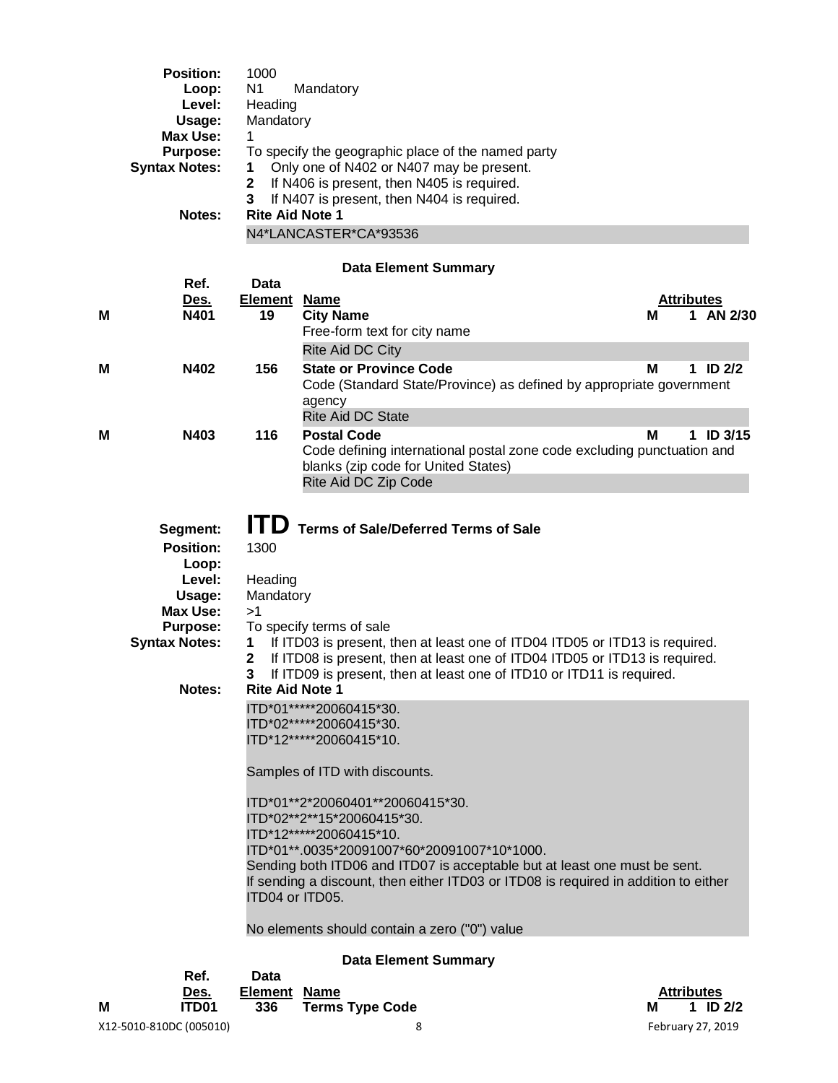|   | <b>Position:</b><br>Loop:<br>Level:<br>Usage:<br><b>Max Use:</b><br><b>Purpose:</b><br><b>Syntax Notes:</b><br>Notes:             | 1000<br>N <sub>1</sub><br>Heading<br>Mandatory<br>1<br>1<br>$\mathbf 2$<br>3<br><b>Rite Aid Note 1</b> | Mandatory<br>To specify the geographic place of the named party<br>Only one of N402 or N407 may be present.<br>If N406 is present, then N405 is required.<br>If N407 is present, then N404 is required.<br>N4*LANCASTER*CA*93536                                                                                                                                                                                                   |                   |   |                   |
|---|-----------------------------------------------------------------------------------------------------------------------------------|--------------------------------------------------------------------------------------------------------|------------------------------------------------------------------------------------------------------------------------------------------------------------------------------------------------------------------------------------------------------------------------------------------------------------------------------------------------------------------------------------------------------------------------------------|-------------------|---|-------------------|
|   |                                                                                                                                   |                                                                                                        | <b>Data Element Summary</b>                                                                                                                                                                                                                                                                                                                                                                                                        |                   |   |                   |
|   | Ref.                                                                                                                              | <b>Data</b>                                                                                            |                                                                                                                                                                                                                                                                                                                                                                                                                                    |                   |   |                   |
|   | <u>Des.</u>                                                                                                                       | <b>Element</b>                                                                                         | <u>Name</u>                                                                                                                                                                                                                                                                                                                                                                                                                        | <b>Attributes</b> |   |                   |
| Μ | N401                                                                                                                              | 19                                                                                                     | <b>City Name</b><br>Free-form text for city name                                                                                                                                                                                                                                                                                                                                                                                   | М                 |   | 1 AN 2/30         |
|   |                                                                                                                                   |                                                                                                        | Rite Aid DC City                                                                                                                                                                                                                                                                                                                                                                                                                   |                   |   |                   |
| Μ | N402                                                                                                                              | 156                                                                                                    | <b>State or Province Code</b><br>Code (Standard State/Province) as defined by appropriate government<br>agency<br><b>Rite Aid DC State</b>                                                                                                                                                                                                                                                                                         | М                 | 1 | ID <sub>2/2</sub> |
| Μ | N403                                                                                                                              | 116                                                                                                    | <b>Postal Code</b>                                                                                                                                                                                                                                                                                                                                                                                                                 | М                 | 1 | <b>ID 3/15</b>    |
|   |                                                                                                                                   |                                                                                                        | Code defining international postal zone code excluding punctuation and<br>blanks (zip code for United States)<br>Rite Aid DC Zip Code                                                                                                                                                                                                                                                                                              |                   |   |                   |
|   | Segment:<br><b>Position:</b><br>Loop:<br>Level:<br>Usage:<br>Max Use:<br><b>Purpose:</b><br><b>Syntax Notes:</b><br><b>Notes:</b> | <b>ITD</b><br>1300<br>Heading<br>Mandatory<br>>1<br>1.<br>2<br><b>Rite Aid Note 1</b>                  | <b>Terms of Sale/Deferred Terms of Sale</b><br>To specify terms of sale<br>If ITD03 is present, then at least one of ITD04 ITD05 or ITD13 is required.<br>If ITD08 is present, then at least one of ITD04 ITD05 or ITD13 is required.<br>If ITD09 is present, then at least one of ITD10 or ITD11 is required.<br>ITD*01******20060415*30.<br>ITD*02*****20060415*30.<br>ITD*12*****20060415*10.<br>Samples of ITD with discounts. |                   |   |                   |
|   |                                                                                                                                   | ITD04 or ITD05.                                                                                        | ITD*01**2*20060401**20060415*30.<br>ITD*02**2**15*20060415*30.<br>ITD*12*****20060415*10.<br>ITD*01**.0035*20091007*60*20091007*10*1000.<br>Sending both ITD06 and ITD07 is acceptable but at least one must be sent.<br>If sending a discount, then either ITD03 or ITD08 is required in addition to either<br>No elements should contain a zero ("0") value                                                                      |                   |   |                   |
|   |                                                                                                                                   |                                                                                                        |                                                                                                                                                                                                                                                                                                                                                                                                                                    |                   |   |                   |
|   | Ref.                                                                                                                              | Data                                                                                                   | <b>Data Element Summary</b>                                                                                                                                                                                                                                                                                                                                                                                                        |                   |   |                   |

| Ref.         | Data         |                     |   |                   |
|--------------|--------------|---------------------|---|-------------------|
| Des.<br>____ | Element Name |                     |   | <b>Attributes</b> |
| ITD01        |              | 336 Terms Type Code | м | 1 ID $2/2$        |

|   | טסע.                    | LIGINGIIL INGHIG |                     | AW IDULGS         |
|---|-------------------------|------------------|---------------------|-------------------|
| M | <b>ITD01</b>            |                  | 336 Terms Type Code | 1 ID $2/2$        |
|   | X12-5010-810DC (005010) |                  |                     | February 27, 2019 |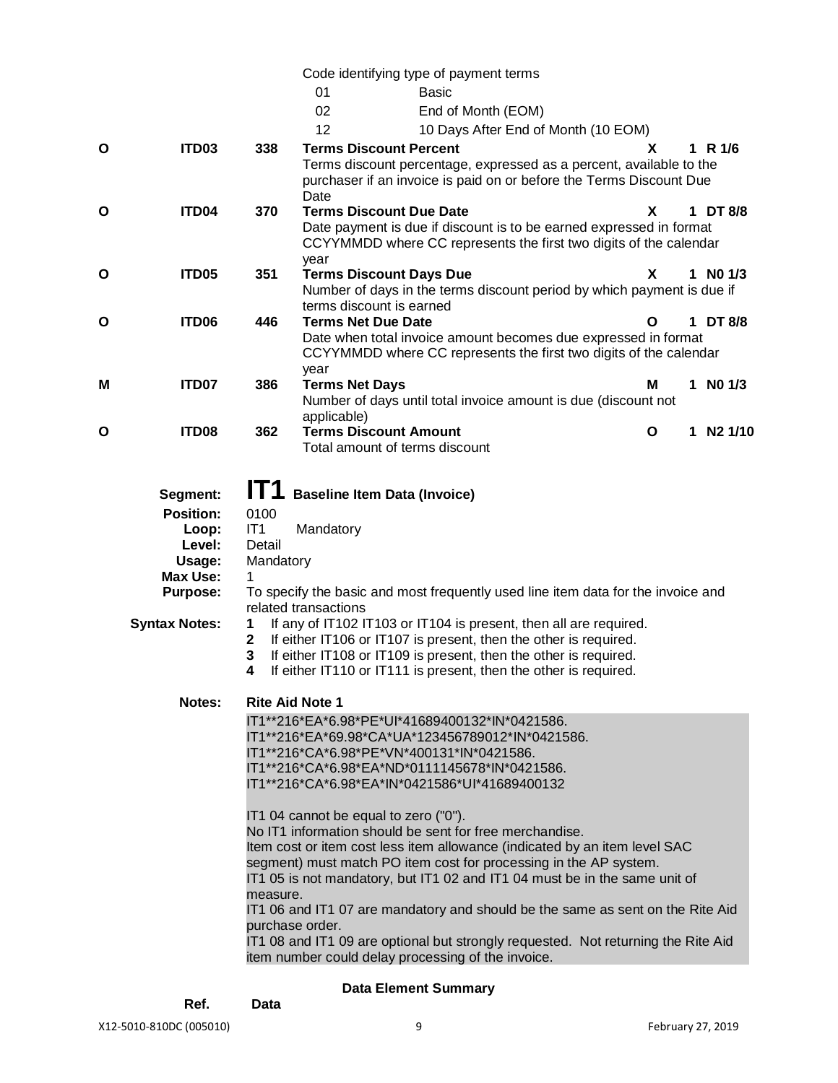Code identifying type of payment terms

|   |                      |             | Code identifying type or payment terms                                            |   |   |              |         |
|---|----------------------|-------------|-----------------------------------------------------------------------------------|---|---|--------------|---------|
|   |                      |             | 01<br><b>Basic</b>                                                                |   |   |              |         |
|   |                      |             | 02<br>End of Month (EOM)                                                          |   |   |              |         |
|   |                      |             | 12<br>10 Days After End of Month (10 EOM)                                         |   |   |              |         |
| O | ITD03                | 338         | <b>Terms Discount Percent</b>                                                     | x |   | 1 R $1/6$    |         |
|   |                      |             | Terms discount percentage, expressed as a percent, available to the               |   |   |              |         |
|   |                      |             | purchaser if an invoice is paid on or before the Terms Discount Due               |   |   |              |         |
|   |                      |             | Date                                                                              |   |   |              |         |
| O | ITD04                | 370         | <b>Terms Discount Due Date</b>                                                    | X |   | 1 DT 8/8     |         |
|   |                      |             | Date payment is due if discount is to be earned expressed in format               |   |   |              |         |
|   |                      |             | CCYYMMDD where CC represents the first two digits of the calendar                 |   |   |              |         |
|   |                      |             | year                                                                              |   |   |              |         |
| O | ITD05                | 351         | <b>Terms Discount Days Due</b>                                                    | X |   | $1$ NO $1/3$ |         |
|   |                      |             | Number of days in the terms discount period by which payment is due if            |   |   |              |         |
|   |                      |             | terms discount is earned                                                          |   |   |              |         |
| O | ITD06                | 446         | <b>Terms Net Due Date</b>                                                         | O |   | 1 DT 8/8     |         |
|   |                      |             | Date when total invoice amount becomes due expressed in format                    |   |   |              |         |
|   |                      |             | CCYYMMDD where CC represents the first two digits of the calendar                 |   |   |              |         |
|   |                      |             | year                                                                              |   |   |              |         |
| Μ | ITD07                | 386         | <b>Terms Net Days</b>                                                             | M |   | $1$ NO $1/3$ |         |
|   |                      |             | Number of days until total invoice amount is due (discount not                    |   |   |              |         |
| O | ITD08                | 362         | applicable)<br><b>Terms Discount Amount</b>                                       | O | 1 |              | N2 1/10 |
|   |                      |             | Total amount of terms discount                                                    |   |   |              |         |
|   |                      |             |                                                                                   |   |   |              |         |
|   |                      |             |                                                                                   |   |   |              |         |
|   | Segment:             | IT1         | <b>Baseline Item Data (Invoice)</b>                                               |   |   |              |         |
|   | <b>Position:</b>     | 0100        |                                                                                   |   |   |              |         |
|   | Loop:                | IT1         | Mandatory                                                                         |   |   |              |         |
|   | Level:               | Detail      |                                                                                   |   |   |              |         |
|   | Usage:               | Mandatory   |                                                                                   |   |   |              |         |
|   | Max Use:             | 1           |                                                                                   |   |   |              |         |
|   | <b>Purpose:</b>      |             | To specify the basic and most frequently used line item data for the invoice and  |   |   |              |         |
|   |                      |             | related transactions                                                              |   |   |              |         |
|   | <b>Syntax Notes:</b> | 1           | If any of IT102 IT103 or IT104 is present, then all are required.                 |   |   |              |         |
|   |                      | $\mathbf 2$ | If either IT106 or IT107 is present, then the other is required.                  |   |   |              |         |
|   |                      | 3           | If either IT108 or IT109 is present, then the other is required.                  |   |   |              |         |
|   |                      | 4           | If either IT110 or IT111 is present, then the other is required.                  |   |   |              |         |
|   | Notes:               |             | <b>Rite Aid Note 1</b>                                                            |   |   |              |         |
|   |                      |             | IT1**216*EA*6.98*PE*UI*41689400132*IN*0421586.                                    |   |   |              |         |
|   |                      |             | IT1**216*EA*69.98*CA*UA*123456789012*IN*0421586.                                  |   |   |              |         |
|   |                      |             | IT1**216*CA*6.98*PE*VN*400131*IN*0421586.                                         |   |   |              |         |
|   |                      |             | IT1**216*CA*6.98*EA*ND*0111145678*IN*0421586.                                     |   |   |              |         |
|   |                      |             | IT1**216*CA*6.98*EA*IN*0421586*UI*41689400132                                     |   |   |              |         |
|   |                      |             |                                                                                   |   |   |              |         |
|   |                      |             | IT1 04 cannot be equal to zero ("0").                                             |   |   |              |         |
|   |                      |             | No IT1 information should be sent for free merchandise.                           |   |   |              |         |
|   |                      |             | Item cost or item cost less item allowance (indicated by an item level SAC        |   |   |              |         |
|   |                      |             | segment) must match PO item cost for processing in the AP system.                 |   |   |              |         |
|   |                      |             | IT1 05 is not mandatory, but IT1 02 and IT1 04 must be in the same unit of        |   |   |              |         |
|   |                      | measure.    |                                                                                   |   |   |              |         |
|   |                      |             | IT1 06 and IT1 07 are mandatory and should be the same as sent on the Rite Aid    |   |   |              |         |
|   |                      |             | purchase order.                                                                   |   |   |              |         |
|   |                      |             | IT1 08 and IT1 09 are optional but strongly requested. Not returning the Rite Aid |   |   |              |         |
|   |                      |             | item number could delay processing of the invoice.                                |   |   |              |         |

# **Data Element Summary**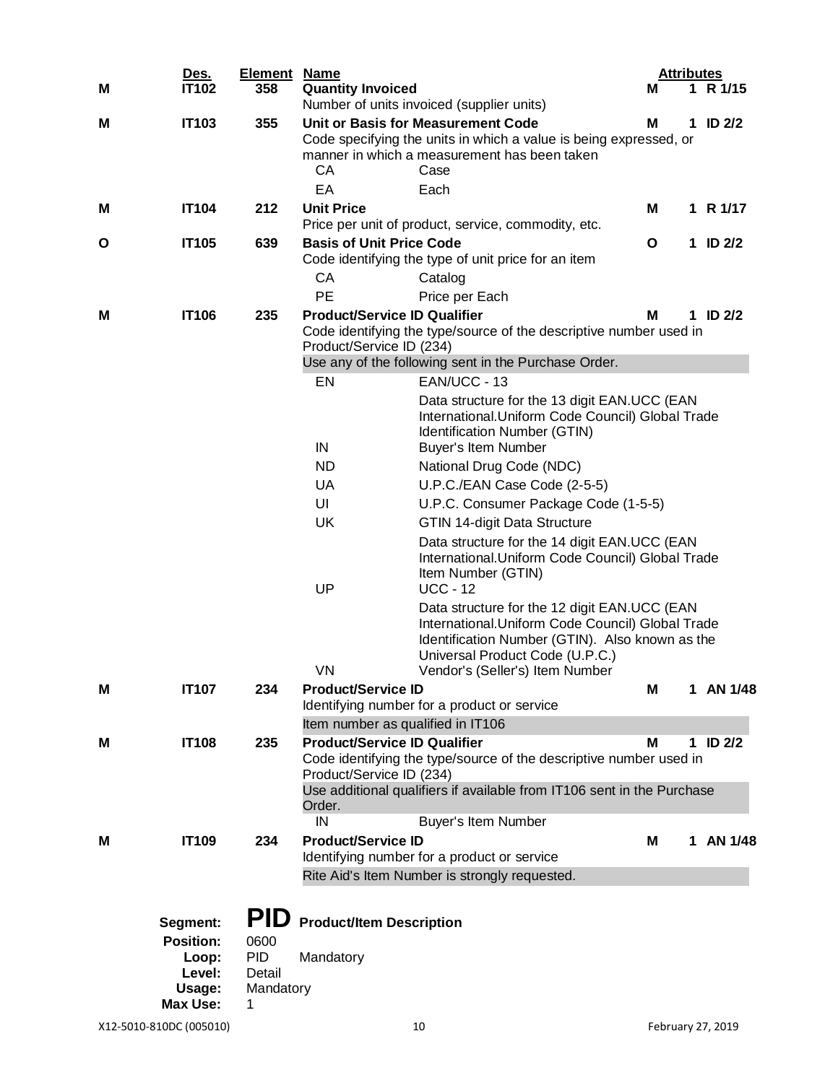|   | Des.                         | <b>Element Name</b> |                                                                 |                                                                                                                                                                                         | <b>Attributes</b> |   |               |  |
|---|------------------------------|---------------------|-----------------------------------------------------------------|-----------------------------------------------------------------------------------------------------------------------------------------------------------------------------------------|-------------------|---|---------------|--|
| M | <b>IT102</b>                 | 358                 | <b>Quantity Invoiced</b>                                        |                                                                                                                                                                                         | М                 |   | 1 R 1/15      |  |
|   |                              |                     |                                                                 | Number of units invoiced (supplier units)                                                                                                                                               | м                 |   |               |  |
| М | <b>IT103</b>                 | 355                 | CA<br>EA                                                        | Unit or Basis for Measurement Code<br>Code specifying the units in which a value is being expressed, or<br>manner in which a measurement has been taken<br>Case<br>Each                 |                   | 1 | <b>ID 2/2</b> |  |
| м | <b>IT104</b>                 | 212                 | <b>Unit Price</b>                                               |                                                                                                                                                                                         | м                 |   | 1 R 1/17      |  |
|   |                              |                     |                                                                 | Price per unit of product, service, commodity, etc.                                                                                                                                     |                   |   |               |  |
| O | <b>IT105</b>                 | 639                 | <b>Basis of Unit Price Code</b>                                 |                                                                                                                                                                                         | O                 |   | 1 ID $2/2$    |  |
|   |                              |                     |                                                                 | Code identifying the type of unit price for an item                                                                                                                                     |                   |   |               |  |
|   |                              |                     | CA                                                              | Catalog                                                                                                                                                                                 |                   |   |               |  |
|   |                              |                     | PE                                                              | Price per Each                                                                                                                                                                          |                   |   |               |  |
| м | <b>IT106</b>                 | 235                 | <b>Product/Service ID Qualifier</b><br>Product/Service ID (234) | Code identifying the type/source of the descriptive number used in<br>Use any of the following sent in the Purchase Order.                                                              | M                 |   | 1 ID $2/2$    |  |
|   |                              |                     | EN                                                              | EAN/UCC - 13                                                                                                                                                                            |                   |   |               |  |
|   |                              |                     | IN                                                              | Data structure for the 13 digit EAN.UCC (EAN<br>International. Uniform Code Council) Global Trade<br>Identification Number (GTIN)<br><b>Buyer's Item Number</b>                         |                   |   |               |  |
|   |                              |                     | <b>ND</b>                                                       | National Drug Code (NDC)                                                                                                                                                                |                   |   |               |  |
|   |                              |                     | <b>UA</b><br>U.P.C./EAN Case Code (2-5-5)                       |                                                                                                                                                                                         |                   |   |               |  |
|   |                              |                     | UI<br>U.P.C. Consumer Package Code (1-5-5)                      |                                                                                                                                                                                         |                   |   |               |  |
|   |                              |                     | <b>UK</b><br><b>GTIN 14-digit Data Structure</b>                |                                                                                                                                                                                         |                   |   |               |  |
|   |                              |                     | UP                                                              | Data structure for the 14 digit EAN.UCC (EAN<br>International. Uniform Code Council) Global Trade<br>Item Number (GTIN)<br><b>UCC - 12</b>                                              |                   |   |               |  |
|   |                              |                     |                                                                 | Data structure for the 12 digit EAN.UCC (EAN<br>International. Uniform Code Council) Global Trade<br>Identification Number (GTIN). Also known as the<br>Universal Product Code (U.P.C.) |                   |   |               |  |
|   |                              |                     | VN                                                              | Vendor's (Seller's) Item Number                                                                                                                                                         |                   |   |               |  |
| M | <b>IT107</b>                 | 234                 | <b>Product/Service ID</b>                                       | Identifying number for a product or service                                                                                                                                             | M                 | 1 | AN 1/48       |  |
|   |                              |                     | Item number as qualified in IT106                               |                                                                                                                                                                                         |                   |   |               |  |
| М | <b>IT108</b>                 | 235                 | <b>Product/Service ID Qualifier</b>                             |                                                                                                                                                                                         | M                 |   | 1 ID $2/2$    |  |
|   |                              |                     | Product/Service ID (234)                                        | Code identifying the type/source of the descriptive number used in                                                                                                                      |                   |   |               |  |
|   |                              |                     | Order.                                                          | Use additional qualifiers if available from IT106 sent in the Purchase                                                                                                                  |                   |   |               |  |
|   |                              |                     | IN                                                              | Buyer's Item Number                                                                                                                                                                     |                   |   |               |  |
| м | <b>IT109</b>                 | 234                 | <b>Product/Service ID</b>                                       | Identifying number for a product or service                                                                                                                                             | М                 | 1 | AN 1/48       |  |
|   |                              |                     |                                                                 | Rite Aid's Item Number is strongly requested.                                                                                                                                           |                   |   |               |  |
|   | Segment:<br><b>Position:</b> | <b>PID</b><br>0600  | <b>Product/Item Description</b>                                 |                                                                                                                                                                                         |                   |   |               |  |
|   | Loop:                        | <b>PID</b>          | Mandatory                                                       |                                                                                                                                                                                         |                   |   |               |  |
|   | Level:<br>Usage:             | Detail<br>Mandatory |                                                                 |                                                                                                                                                                                         |                   |   |               |  |
|   | Max Use:                     | 1                   |                                                                 |                                                                                                                                                                                         |                   |   |               |  |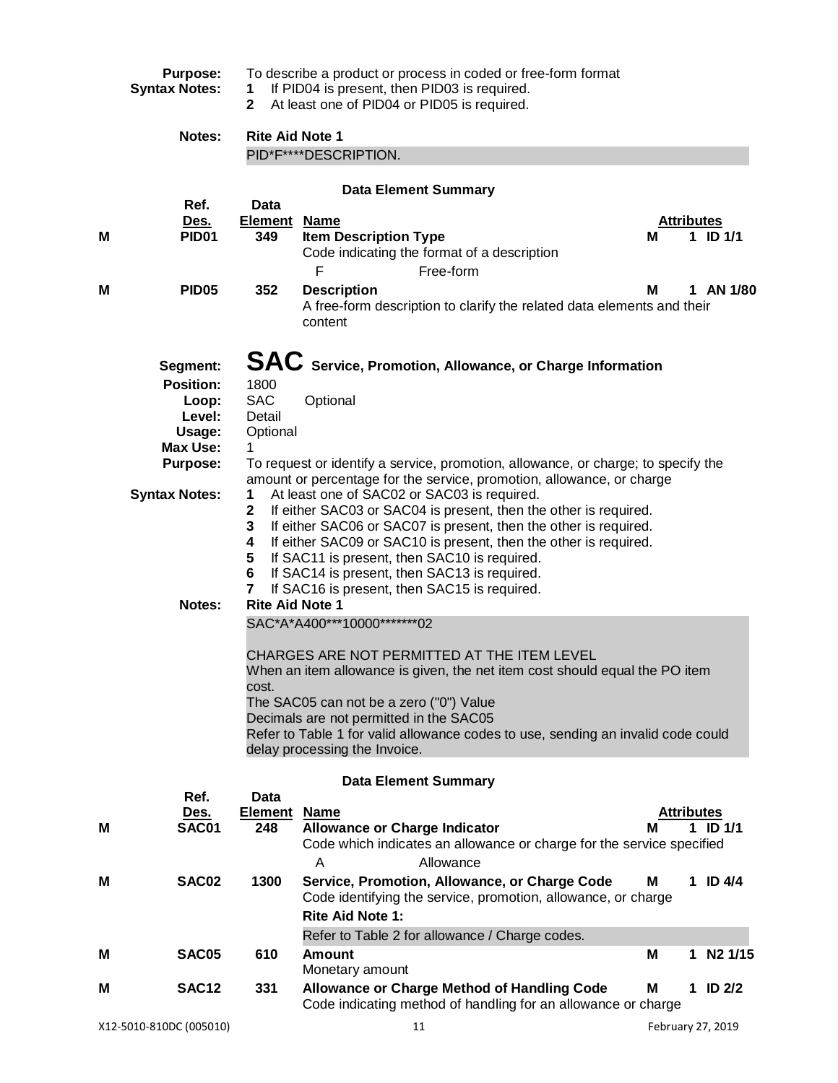|   | <b>Purpose:</b>           |                                                                                                                                                           | To describe a product or process in coded or free-form format                                                              |   |                   |                   |  |  |
|---|---------------------------|-----------------------------------------------------------------------------------------------------------------------------------------------------------|----------------------------------------------------------------------------------------------------------------------------|---|-------------------|-------------------|--|--|
|   | <b>Syntax Notes:</b>      | If PID04 is present, then PID03 is required.<br>1<br>At least one of PID04 or PID05 is required.<br>$\mathbf{2}$                                          |                                                                                                                            |   |                   |                   |  |  |
|   | Notes:                    | <b>Rite Aid Note 1</b>                                                                                                                                    |                                                                                                                            |   |                   |                   |  |  |
|   |                           | PID*F****DESCRIPTION.                                                                                                                                     |                                                                                                                            |   |                   |                   |  |  |
|   |                           |                                                                                                                                                           |                                                                                                                            |   |                   |                   |  |  |
|   | Ref.                      | <b>Data</b>                                                                                                                                               | <b>Data Element Summary</b>                                                                                                |   |                   |                   |  |  |
|   | <u>Des.</u>               | <u>Element</u>                                                                                                                                            | <b>Name</b>                                                                                                                |   | <b>Attributes</b> |                   |  |  |
| M | PID <sub>01</sub>         | 349                                                                                                                                                       | <b>Item Description Type</b>                                                                                               | М | 1.                | $ID$ 1/1          |  |  |
|   |                           |                                                                                                                                                           | Code indicating the format of a description                                                                                |   |                   |                   |  |  |
|   |                           |                                                                                                                                                           | F<br>Free-form                                                                                                             |   |                   |                   |  |  |
| M | <b>PID05</b>              | 352                                                                                                                                                       | <b>Description</b><br>A free-form description to clarify the related data elements and their                               | м |                   | 1 AN 1/80         |  |  |
|   |                           |                                                                                                                                                           | content                                                                                                                    |   |                   |                   |  |  |
|   |                           |                                                                                                                                                           |                                                                                                                            |   |                   |                   |  |  |
|   | Segment:                  |                                                                                                                                                           | SAC Service, Promotion, Allowance, or Charge Information                                                                   |   |                   |                   |  |  |
|   | <b>Position:</b>          | 1800                                                                                                                                                      |                                                                                                                            |   |                   |                   |  |  |
|   | Loop:                     | <b>SAC</b>                                                                                                                                                | Optional                                                                                                                   |   |                   |                   |  |  |
|   | Level:                    | Detail                                                                                                                                                    |                                                                                                                            |   |                   |                   |  |  |
|   | Usage:<br><b>Max Use:</b> | Optional<br>1.                                                                                                                                            |                                                                                                                            |   |                   |                   |  |  |
|   | <b>Purpose:</b>           |                                                                                                                                                           | To request or identify a service, promotion, allowance, or charge; to specify the                                          |   |                   |                   |  |  |
|   |                           |                                                                                                                                                           | amount or percentage for the service, promotion, allowance, or charge                                                      |   |                   |                   |  |  |
|   | <b>Syntax Notes:</b>      | 1                                                                                                                                                         | At least one of SAC02 or SAC03 is required.                                                                                |   |                   |                   |  |  |
|   |                           | If either SAC03 or SAC04 is present, then the other is required.<br>$\mathbf{2}$<br>3<br>If either SAC06 or SAC07 is present, then the other is required. |                                                                                                                            |   |                   |                   |  |  |
|   |                           | 4                                                                                                                                                         | If either SAC09 or SAC10 is present, then the other is required.                                                           |   |                   |                   |  |  |
|   |                           | 5                                                                                                                                                         | If SAC11 is present, then SAC10 is required.                                                                               |   |                   |                   |  |  |
|   |                           | 6                                                                                                                                                         | If SAC14 is present, then SAC13 is required.                                                                               |   |                   |                   |  |  |
|   | Notes:                    | 7<br><b>Rite Aid Note 1</b>                                                                                                                               | If SAC16 is present, then SAC15 is required.                                                                               |   |                   |                   |  |  |
|   |                           |                                                                                                                                                           | SAC*A*A400***10000********02                                                                                               |   |                   |                   |  |  |
|   |                           |                                                                                                                                                           |                                                                                                                            |   |                   |                   |  |  |
|   |                           |                                                                                                                                                           | CHARGES ARE NOT PERMITTED AT THE ITEM LEVEL<br>When an item allowance is given, the net item cost should equal the PO item |   |                   |                   |  |  |
|   |                           | cost.                                                                                                                                                     |                                                                                                                            |   |                   |                   |  |  |
|   |                           |                                                                                                                                                           | The SAC05 can not be a zero ("0") Value                                                                                    |   |                   |                   |  |  |
|   |                           |                                                                                                                                                           | Decimals are not permitted in the SAC05                                                                                    |   |                   |                   |  |  |
|   |                           |                                                                                                                                                           | Refer to Table 1 for valid allowance codes to use, sending an invalid code could<br>delay processing the Invoice.          |   |                   |                   |  |  |
|   |                           |                                                                                                                                                           |                                                                                                                            |   |                   |                   |  |  |
|   | Ref.                      | Data                                                                                                                                                      | <b>Data Element Summary</b>                                                                                                |   |                   |                   |  |  |
|   | <u>Des.</u>               | <b>Element Name</b>                                                                                                                                       |                                                                                                                            |   | <b>Attributes</b> |                   |  |  |
| M | SAC01                     | 248                                                                                                                                                       | <b>Allowance or Charge Indicator</b>                                                                                       | м | 1.                | $ID$ 1/1          |  |  |
|   |                           |                                                                                                                                                           | Code which indicates an allowance or charge for the service specified                                                      |   |                   |                   |  |  |
|   |                           |                                                                                                                                                           | Allowance<br>A                                                                                                             |   |                   |                   |  |  |
| M | SAC02                     | 1300                                                                                                                                                      | Service, Promotion, Allowance, or Charge Code                                                                              | Μ |                   | 1 ID $4/4$        |  |  |
|   |                           |                                                                                                                                                           | Code identifying the service, promotion, allowance, or charge<br><b>Rite Aid Note 1:</b>                                   |   |                   |                   |  |  |
|   |                           |                                                                                                                                                           | Refer to Table 2 for allowance / Charge codes.                                                                             |   |                   |                   |  |  |
| м | SAC05                     | 610                                                                                                                                                       | <b>Amount</b>                                                                                                              | M |                   | 1 N2 1/15         |  |  |
|   |                           |                                                                                                                                                           | Monetary amount                                                                                                            |   |                   |                   |  |  |
| M | <b>SAC12</b>              | 331                                                                                                                                                       | Allowance or Charge Method of Handling Code                                                                                | Μ |                   | 1 ID $2/2$        |  |  |
|   |                           |                                                                                                                                                           | Code indicating method of handling for an allowance or charge                                                              |   |                   |                   |  |  |
|   | X12-5010-810DC (005010)   |                                                                                                                                                           | 11                                                                                                                         |   |                   | February 27, 2019 |  |  |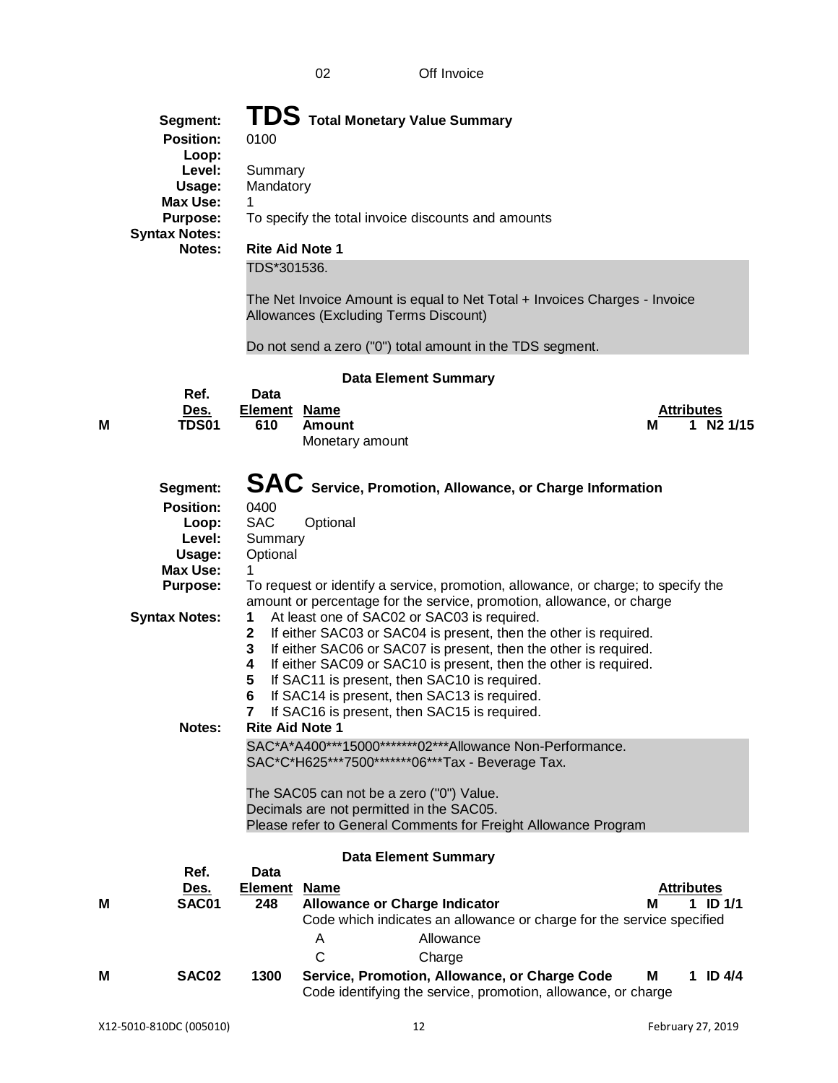|   | Segment:<br><b>Position:</b><br>Loop:<br>Level:<br>Usage:<br><b>Max Use:</b><br>Purpose:<br><b>Syntax Notes:</b><br>Notes:        | 0100<br>Summary<br>Mandatory<br>1<br><b>Rite Aid Note 1</b><br>TDS*301536.                                             | TDS Total Monetary Value Summary<br>To specify the total invoice discounts and amounts<br>The Net Invoice Amount is equal to Net Total + Invoices Charges - Invoice<br>Allowances (Excluding Terms Discount)<br>Do not send a zero ("0") total amount in the TDS segment.                                                                                                                                                                                                                                                                                                                                                                                                                                                                                                                                                                                                                                                 |   |                             |  |
|---|-----------------------------------------------------------------------------------------------------------------------------------|------------------------------------------------------------------------------------------------------------------------|---------------------------------------------------------------------------------------------------------------------------------------------------------------------------------------------------------------------------------------------------------------------------------------------------------------------------------------------------------------------------------------------------------------------------------------------------------------------------------------------------------------------------------------------------------------------------------------------------------------------------------------------------------------------------------------------------------------------------------------------------------------------------------------------------------------------------------------------------------------------------------------------------------------------------|---|-----------------------------|--|
|   |                                                                                                                                   |                                                                                                                        | <b>Data Element Summary</b>                                                                                                                                                                                                                                                                                                                                                                                                                                                                                                                                                                                                                                                                                                                                                                                                                                                                                               |   |                             |  |
|   | Ref.                                                                                                                              | <b>Data</b>                                                                                                            |                                                                                                                                                                                                                                                                                                                                                                                                                                                                                                                                                                                                                                                                                                                                                                                                                                                                                                                           |   |                             |  |
|   | Des.                                                                                                                              | <b>Element</b>                                                                                                         | <u>Name</u>                                                                                                                                                                                                                                                                                                                                                                                                                                                                                                                                                                                                                                                                                                                                                                                                                                                                                                               |   | <b>Attributes</b>           |  |
| M | <b>TDS01</b>                                                                                                                      | 610                                                                                                                    | <b>Amount</b><br>Monetary amount                                                                                                                                                                                                                                                                                                                                                                                                                                                                                                                                                                                                                                                                                                                                                                                                                                                                                          | м | N <sub>2</sub> 1/15<br>1.   |  |
|   |                                                                                                                                   |                                                                                                                        |                                                                                                                                                                                                                                                                                                                                                                                                                                                                                                                                                                                                                                                                                                                                                                                                                                                                                                                           |   |                             |  |
|   | Segment:<br><b>Position:</b><br>Loop:<br>Level:<br>Usage:<br><b>Max Use:</b><br><b>Purpose:</b><br><b>Syntax Notes:</b><br>Notes: | 0400<br><b>SAC</b><br>Summary<br>Optional<br>1<br>1<br>$\mathbf{2}$<br>3<br>4<br>5<br>6<br>7<br><b>Rite Aid Note 1</b> | SAC Service, Promotion, Allowance, or Charge Information<br>Optional<br>To request or identify a service, promotion, allowance, or charge; to specify the<br>amount or percentage for the service, promotion, allowance, or charge<br>At least one of SAC02 or SAC03 is required.<br>If either SAC03 or SAC04 is present, then the other is required.<br>If either SAC06 or SAC07 is present, then the other is required.<br>If either SAC09 or SAC10 is present, then the other is required.<br>If SAC11 is present, then SAC10 is required.<br>If SAC14 is present, then SAC13 is required.<br>If SAC16 is present, then SAC15 is required.<br>SAC*A*A400***15000********02***Allowance Non-Performance.<br>SAC*C*H625***7500********06***Tax - Beverage Tax.<br>The SAC05 can not be a zero ("0") Value.<br>Decimals are not permitted in the SAC05.<br>Please refer to General Comments for Freight Allowance Program |   |                             |  |
| М | Ref.<br>Des.<br>SAC01                                                                                                             | <b>Data</b><br><b>Element</b><br>248                                                                                   | <b>Data Element Summary</b><br><b>Name</b><br><b>Allowance or Charge Indicator</b><br>Code which indicates an allowance or charge for the service specified<br>Allowance<br>A                                                                                                                                                                                                                                                                                                                                                                                                                                                                                                                                                                                                                                                                                                                                             |   | Attributes<br>$ID$ 1/1<br>1 |  |
|   |                                                                                                                                   |                                                                                                                        | $\mathsf{C}$<br>Charge                                                                                                                                                                                                                                                                                                                                                                                                                                                                                                                                                                                                                                                                                                                                                                                                                                                                                                    |   |                             |  |
| М | SAC02                                                                                                                             | 1300                                                                                                                   | Service, Promotion, Allowance, or Charge Code<br>Code identifying the service, promotion, allowance, or charge                                                                                                                                                                                                                                                                                                                                                                                                                                                                                                                                                                                                                                                                                                                                                                                                            | М | 1 ID $4/4$                  |  |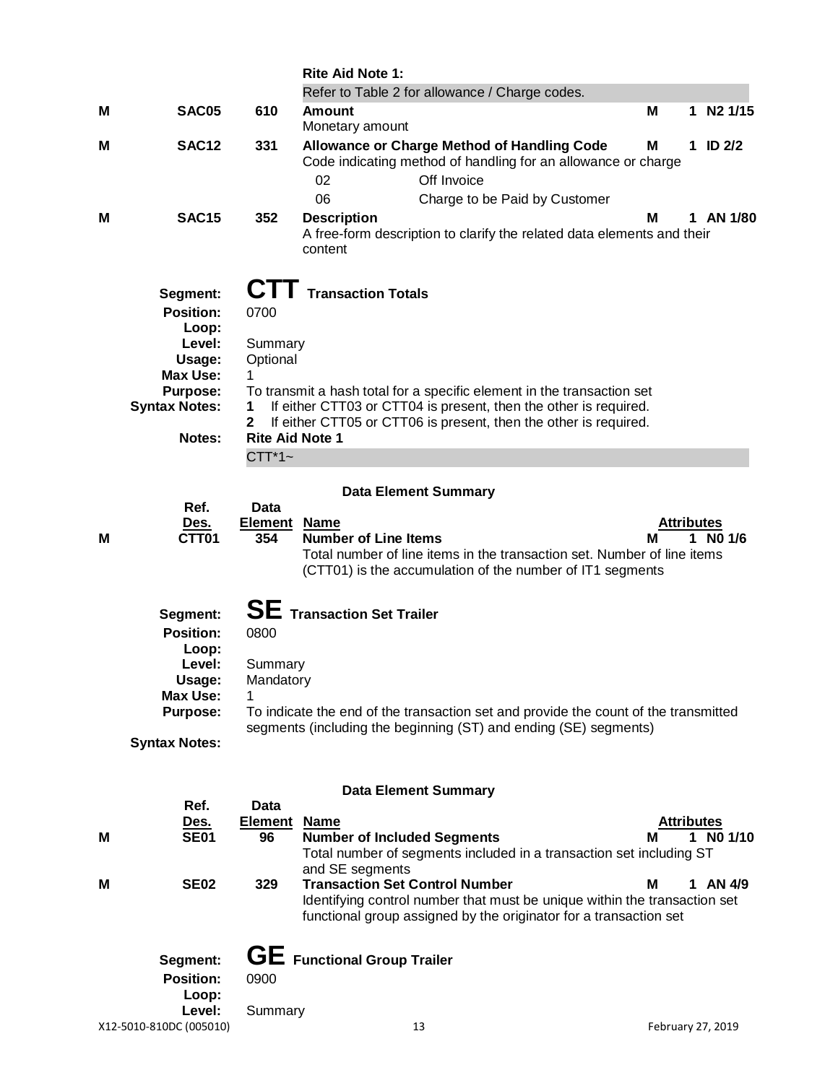|   |                                                                                                                                   |                                                                                                   | <b>Rite Aid Note 1:</b>                                                                                                                                                                                                                     |                        |    |               |
|---|-----------------------------------------------------------------------------------------------------------------------------------|---------------------------------------------------------------------------------------------------|---------------------------------------------------------------------------------------------------------------------------------------------------------------------------------------------------------------------------------------------|------------------------|----|---------------|
|   |                                                                                                                                   |                                                                                                   | Refer to Table 2 for allowance / Charge codes.                                                                                                                                                                                              |                        |    |               |
| м | SAC05                                                                                                                             | 610                                                                                               | <b>Amount</b><br>Monetary amount                                                                                                                                                                                                            | M                      |    | 1 N2 1/15     |
| м | <b>SAC12</b>                                                                                                                      | 331                                                                                               | <b>Allowance or Charge Method of Handling Code</b><br>Code indicating method of handling for an allowance or charge<br>Off Invoice<br>02<br>06<br>Charge to be Paid by Customer                                                             | М                      | 1. | <b>ID 2/2</b> |
| м | <b>SAC15</b>                                                                                                                      | 352                                                                                               | <b>Description</b><br>A free-form description to clarify the related data elements and their<br>content                                                                                                                                     | м                      |    | 1 AN 1/80     |
|   | Segment:<br><b>Position:</b><br>Loop:<br>Level:<br>Usage:<br><b>Max Use:</b><br><b>Purpose:</b><br><b>Syntax Notes:</b><br>Notes: | C I L<br>0700<br>Summary<br>Optional<br>1<br>$\mathbf{2}$<br><b>Rite Aid Note 1</b><br>$CTT^*1$ ~ | <b>Transaction Totals</b><br>To transmit a hash total for a specific element in the transaction set<br>If either CTT03 or CTT04 is present, then the other is required.<br>If either CTT05 or CTT06 is present, then the other is required. |                        |    |               |
|   |                                                                                                                                   |                                                                                                   | <b>Data Element Summary</b>                                                                                                                                                                                                                 |                        |    |               |
| м | Ref.<br>Des.<br>CTT01                                                                                                             | Data<br><b>Element Name</b><br>354                                                                | <b>Number of Line Items</b><br>Total number of line items in the transaction set. Number of line items<br>(CTT01) is the accumulation of the number of IT1 segments                                                                         | <b>Attributes</b><br>м | 1. | NO 1/6        |
|   | Segment:<br><b>Position:</b><br>Loop:<br>Level:<br>Usage:<br><b>Max Use:</b><br><b>Purpose:</b><br><b>Syntax Notes:</b>           | 0800<br>Summary<br>Mandatory                                                                      | $SE$ Transaction Set Trailer<br>To indicate the end of the transaction set and provide the count of the transmitted<br>segments (including the beginning (ST) and ending (SE) segments)                                                     |                        |    |               |
|   |                                                                                                                                   |                                                                                                   | <b>Data Element Summary</b>                                                                                                                                                                                                                 |                        |    |               |
|   | Ref.                                                                                                                              | <b>Data</b>                                                                                       |                                                                                                                                                                                                                                             |                        |    |               |
| Μ | <u>Des.</u><br><b>SE01</b>                                                                                                        | <b>Element Name</b><br>96                                                                         | <b>Number of Included Segments</b><br>Total number of segments included in a transaction set including ST<br>and SE segments                                                                                                                | <b>Attributes</b><br>м |    | 1 NO 1/10     |
| м | <b>SE02</b>                                                                                                                       | 329                                                                                               | <b>Transaction Set Control Number</b><br>Identifying control number that must be unique within the transaction set<br>functional group assigned by the originator for a transaction set                                                     | Μ                      |    | 1 AN 4/9      |
|   | Segment:                                                                                                                          |                                                                                                   | <b>GE</b> Functional Group Trailer                                                                                                                                                                                                          |                        |    |               |
|   | <b>Position:</b>                                                                                                                  | 0900                                                                                              |                                                                                                                                                                                                                                             |                        |    |               |

X12-5010-810DC (005010) 13 February 27, 2019 **Loop:**

Summary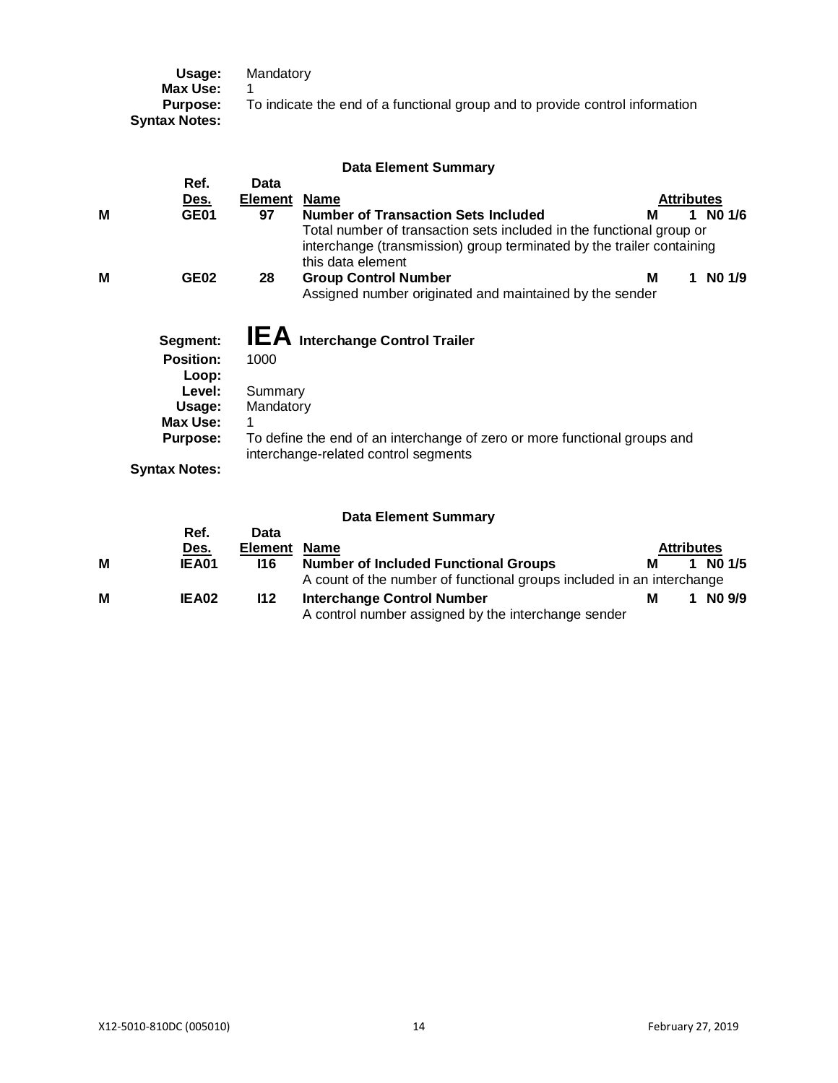| Usage:<br>Max Use:                      | Mandatory                                                                    |
|-----------------------------------------|------------------------------------------------------------------------------|
| <b>Purpose:</b><br><b>Syntax Notes:</b> | To indicate the end of a functional group and to provide control information |

|   |                                       |                | <b>Data Element Summary</b>                                                                                                                                        |                   |   |        |
|---|---------------------------------------|----------------|--------------------------------------------------------------------------------------------------------------------------------------------------------------------|-------------------|---|--------|
|   | Ref.                                  | <b>Data</b>    |                                                                                                                                                                    |                   |   |        |
|   | Des.                                  | <b>Element</b> | <b>Name</b>                                                                                                                                                        | <b>Attributes</b> |   |        |
| м | GE01                                  | 97             | <b>Number of Transaction Sets Included</b>                                                                                                                         | м                 | 1 | NO 1/6 |
|   |                                       |                | Total number of transaction sets included in the functional group or<br>interchange (transmission) group terminated by the trailer containing<br>this data element |                   |   |        |
| M | <b>GE02</b>                           | 28             | <b>Group Control Number</b>                                                                                                                                        | М                 |   | NO 1/9 |
|   |                                       |                | Assigned number originated and maintained by the sender                                                                                                            |                   |   |        |
|   | Segment:<br><b>Position:</b><br>Loop: | 1000           | <b>IEA</b> Interchange Control Trailer                                                                                                                             |                   |   |        |
|   | Level:                                | Summary        |                                                                                                                                                                    |                   |   |        |
|   | Usage:                                | Mandatory      |                                                                                                                                                                    |                   |   |        |
|   | Max Use:                              |                |                                                                                                                                                                    |                   |   |        |
|   | <b>Purpose:</b>                       |                | To define the end of an interchange of zero or more functional groups and<br>interchange-related control segments                                                  |                   |   |        |
|   | <b>Syntax Notes:</b>                  |                |                                                                                                                                                                    |                   |   |        |

# **Data Element Summary**

|   | Ref.<br>Des. | Data<br><b>Element</b> | <b>Name</b>                                                                              | <b>Attributes</b> |  |            |
|---|--------------|------------------------|------------------------------------------------------------------------------------------|-------------------|--|------------|
| м | <b>IEA01</b> | 116                    | <b>Number of Included Functional Groups</b>                                              | М                 |  | 1 NO $1/5$ |
|   |              |                        | A count of the number of functional groups included in an interchange                    |                   |  |            |
| м | IEA02        | 112                    | <b>Interchange Control Number</b><br>A control number assigned by the interchange sender | м                 |  | NO 9/9     |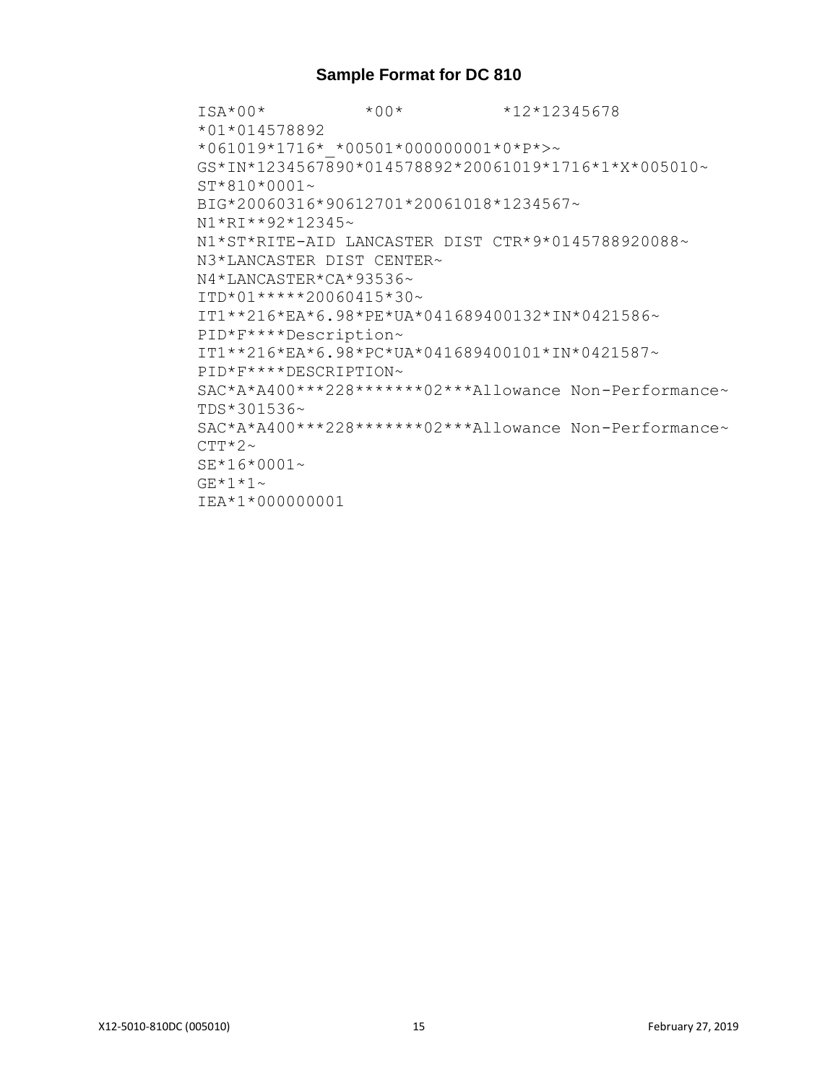### **Sample Format for DC 810**

ISA\*00\* \*00\* \*12\*12345678 \*01\*014578892 \*061019\*1716\*\_\*00501\*000000001\*0\*P\*>~ GS\*IN\*1234567890\*014578892\*20061019\*1716\*1\*X\*005010~ ST\*810\*0001~ BIG\*20060316\*90612701\*20061018\*1234567~ N1\*RI\*\*92\*12345~ N1\*ST\*RITE-AID LANCASTER DIST CTR\*9\*0145788920088~ N3\*LANCASTER DIST CENTER~ N4\*LANCASTER\*CA\*93536~ ITD\*01\*\*\*\*\*20060415\*30~ IT1\*\*216\*EA\*6.98\*PE\*UA\*041689400132\*IN\*0421586~ PID\*F\*\*\*\*Description~ IT1\*\*216\*EA\*6.98\*PC\*UA\*041689400101\*IN\*0421587~ PID\*F\*\*\*\*DESCRIPTION~  $SAC*A*A400***228******02****ADlowance Non-Performance~ $\sim$$ TDS\*301536~ SAC\*A\*A400\*\*\*228\*\*\*\*\*\*\*02\*\*\*Allowance Non-Performance~  $CTT*2~$ SE\*16\*0001~  $GE*1*1~$ IEA\*1\*000000001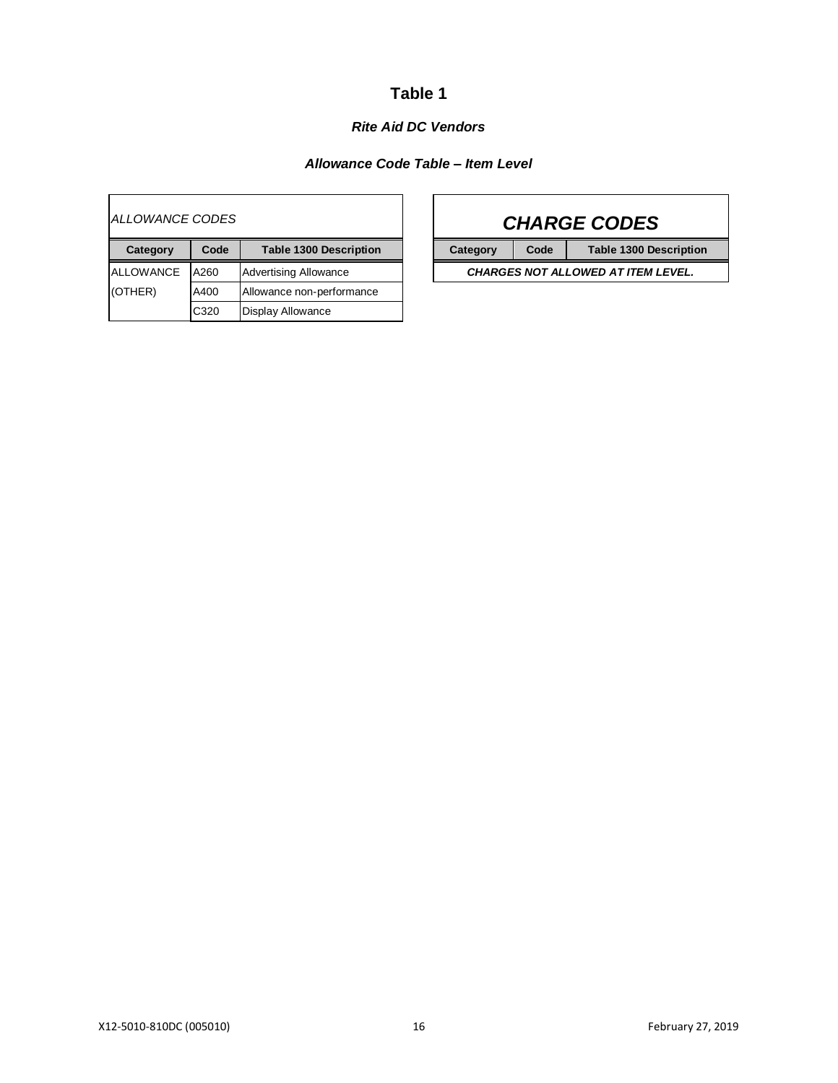# **Table 1**

### *Rite Aid DC Vendors*

### *Allowance Code Table – Item Level*

 $\blacksquare$ 

| <i>ALLOWANCE CODES</i> |      |                               |                                           |      | <b>CHARGE CODES</b>           |
|------------------------|------|-------------------------------|-------------------------------------------|------|-------------------------------|
| Category               | Code | <b>Table 1300 Description</b> | Category                                  | Code | <b>Table 1300 Description</b> |
| <b>ALLOWANCE</b>       | A260 | <b>Advertising Allowance</b>  | <b>CHARGES NOT ALLOWED AT ITEM LEVEL.</b> |      |                               |
| (OTHER)                | A400 | Allowance non-performance     |                                           |      |                               |
|                        | C320 | <b>Display Allowance</b>      |                                           |      |                               |

 $\mathsf{r}$ 

| <b>CHARGE CODES</b>                       |      |                               |  |  |  |  |  |
|-------------------------------------------|------|-------------------------------|--|--|--|--|--|
| Category                                  | Code | <b>Table 1300 Description</b> |  |  |  |  |  |
| <b>CHARGES NOT ALLOWED AT ITEM LEVEL.</b> |      |                               |  |  |  |  |  |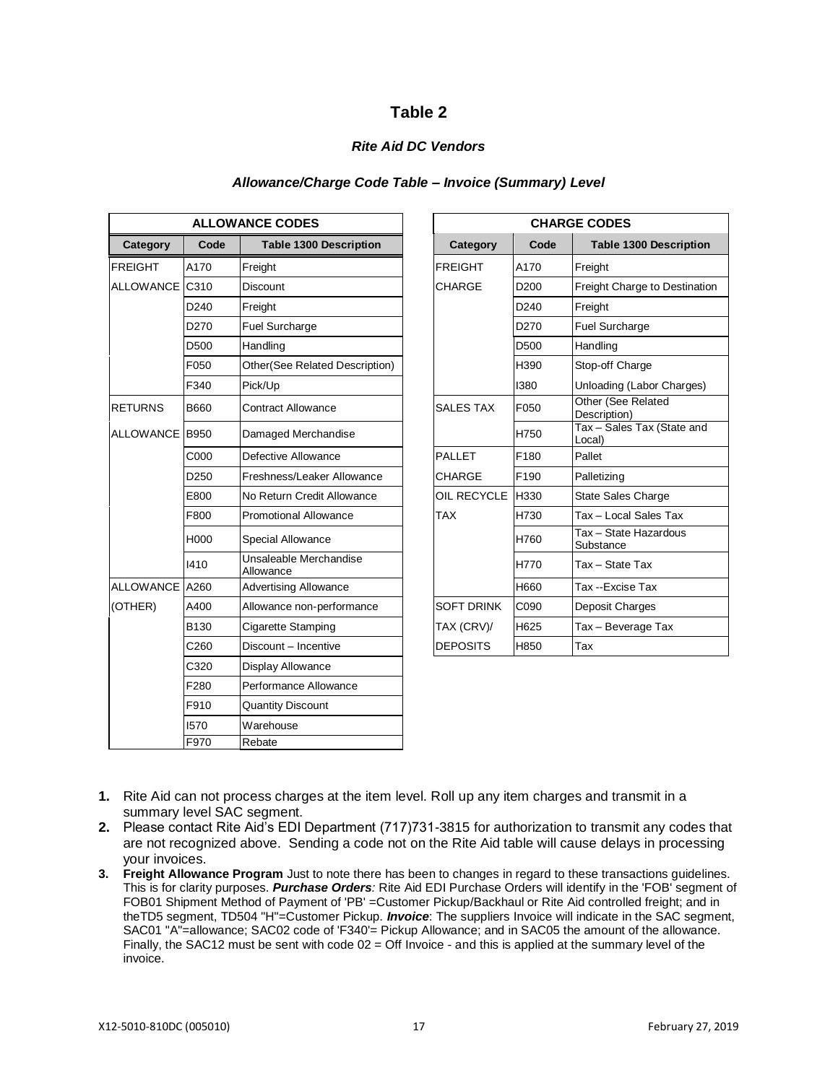### **Table 2**

### *Rite Aid DC Vendors*

#### *Allowance/Charge Code Table – Invoice (Summary) Level*

| <b>ALLOWANCE CODES</b> |                  |                                     | <b>CHARGE CODES</b> |                  |                                      |  |
|------------------------|------------------|-------------------------------------|---------------------|------------------|--------------------------------------|--|
| Category               | Code             | <b>Table 1300 Description</b>       | Category            | Code             | <b>Table 1300 Description</b>        |  |
| <b>FREIGHT</b>         | A170             | Freight                             | <b>FREIGHT</b>      | A170             | Freight                              |  |
| <b>ALLOWANCE</b>       | C310             | <b>Discount</b>                     | <b>CHARGE</b>       | D <sub>200</sub> | Freight Charge to Destination        |  |
|                        | D <sub>240</sub> | Freight                             |                     | D <sub>240</sub> | Freight                              |  |
|                        | D270             | Fuel Surcharge                      |                     | D <sub>270</sub> | <b>Fuel Surcharge</b>                |  |
|                        | D <sub>500</sub> | Handling                            |                     | D <sub>500</sub> | Handling                             |  |
|                        | F050             | Other(See Related Description)      |                     | H390             | Stop-off Charge                      |  |
|                        | F340             | Pick/Up                             |                     | 1380             | Unloading (Labor Charges)            |  |
| <b>RETURNS</b>         | <b>B660</b>      | <b>Contract Allowance</b>           | <b>SALES TAX</b>    | F050             | Other (See Related<br>Description)   |  |
| ALLOWANCE B950         |                  | Damaged Merchandise                 |                     | H750             | Tax - Sales Tax (State and<br>Local) |  |
|                        | C000             | Defective Allowance                 | <b>PALLET</b>       | F180             | Pallet                               |  |
|                        | D <sub>250</sub> | Freshness/Leaker Allowance          | <b>CHARGE</b>       | F190             | Palletizing                          |  |
|                        | E800             | No Return Credit Allowance          | OIL RECYCLE         | <b>H330</b>      | <b>State Sales Charge</b>            |  |
|                        | F800             | <b>Promotional Allowance</b>        | <b>TAX</b>          | H730             | Tax - Local Sales Tax                |  |
|                        | H000             | Special Allowance                   |                     | H760             | Tax - State Hazardous<br>Substance   |  |
|                        | 1410             | Unsaleable Merchandise<br>Allowance |                     | H770             | Tax - State Tax                      |  |
| ALLOWANCE A260         |                  | <b>Advertising Allowance</b>        |                     | H660             | Tax --Excise Tax                     |  |
| (OTHER)                | A400             | Allowance non-performance           | <b>SOFT DRINK</b>   | C090             | Deposit Charges                      |  |
|                        | <b>B130</b>      | Cigarette Stamping                  | TAX (CRV)/          | H625             | Tax - Beverage Tax                   |  |
|                        | C <sub>260</sub> | Discount - Incentive                | <b>DEPOSITS</b>     | H850             | Tax                                  |  |
|                        | C320             | Display Allowance                   |                     |                  |                                      |  |
|                        | F280             | Performance Allowance               |                     |                  |                                      |  |
|                        | F910             | <b>Quantity Discount</b>            |                     |                  |                                      |  |
|                        | 1570             | Warehouse                           |                     |                  |                                      |  |
|                        | F970             | Rebate                              |                     |                  |                                      |  |

| <b>ALLOWANCE CODES</b> |                                     | <b>CHARGE CODES</b> |                  |                                      |  |  |
|------------------------|-------------------------------------|---------------------|------------------|--------------------------------------|--|--|
| Code                   | <b>Table 1300 Description</b>       | Category            | Code             | <b>Table 1300 Description</b>        |  |  |
| A170                   | Freight                             | <b>FREIGHT</b>      | A170             | Freight                              |  |  |
| C310                   | <b>Discount</b>                     | CHARGE              | D <sub>200</sub> | Freight Charge to Destination        |  |  |
| D240                   | Freight                             |                     | D <sub>240</sub> | Freight                              |  |  |
| D270                   | Fuel Surcharge                      |                     | D <sub>270</sub> | Fuel Surcharge                       |  |  |
| D500                   | Handling                            |                     | D <sub>500</sub> | Handling                             |  |  |
| F050                   | Other(See Related Description)      |                     | H390             | Stop-off Charge                      |  |  |
| F340                   | Pick/Up                             |                     | 1380             | Unloading (Labor Charges)            |  |  |
| B660                   | <b>Contract Allowance</b>           | <b>SALES TAX</b>    | F050             | Other (See Related<br>Description)   |  |  |
| B950                   | Damaged Merchandise                 |                     | H750             | Tax - Sales Tax (State and<br>Local) |  |  |
| C000                   | Defective Allowance                 | <b>PALLET</b>       | F180             | Pallet                               |  |  |
| D250                   | Freshness/Leaker Allowance          | CHARGE              | F190             | Palletizing                          |  |  |
| E800                   | No Return Credit Allowance          | OIL RECYCLE         | H330             | <b>State Sales Charge</b>            |  |  |
| F800                   | <b>Promotional Allowance</b>        | <b>TAX</b>          | H730             | Tax - Local Sales Tax                |  |  |
| H000                   | Special Allowance                   |                     | H760             | Tax - State Hazardous<br>Substance   |  |  |
| 1410                   | Unsaleable Merchandise<br>Allowance |                     | H770             | Tax - State Tax                      |  |  |
| A260                   | <b>Advertising Allowance</b>        |                     | H660             | Tax --Excise Tax                     |  |  |
| A400                   | Allowance non-performance           | <b>SOFT DRINK</b>   | C <sub>090</sub> | Deposit Charges                      |  |  |
| B130                   | Cigarette Stamping                  | TAX (CRV)/          | H625             | Tax - Beverage Tax                   |  |  |
| C <sub>260</sub>       | Discount - Incentive                | <b>DEPOSITS</b>     | H850             | Tax                                  |  |  |
|                        |                                     |                     |                  |                                      |  |  |

- **1.** Rite Aid can not process charges at the item level. Roll up any item charges and transmit in a summary level SAC segment.
- **2.** Please contact Rite Aid's EDI Department (717)731-3815 for authorization to transmit any codes that are not recognized above. Sending a code not on the Rite Aid table will cause delays in processing your invoices.
- **3. Freight Allowance Program** Just to note there has been to changes in regard to these transactions guidelines. This is for clarity purposes. *Purchase Orders:* Rite Aid EDI Purchase Orders will identify in the 'FOB' segment of FOB01 Shipment Method of Payment of 'PB' =Customer Pickup/Backhaul or Rite Aid controlled freight; and in theTD5 segment, TD504 "H"=Customer Pickup. *Invoice*: The suppliers Invoice will indicate in the SAC segment, SAC01 "A"=allowance; SAC02 code of 'F340'= Pickup Allowance; and in SAC05 the amount of the allowance. Finally, the SAC12 must be sent with code 02 = Off Invoice - and this is applied at the summary level of the invoice.